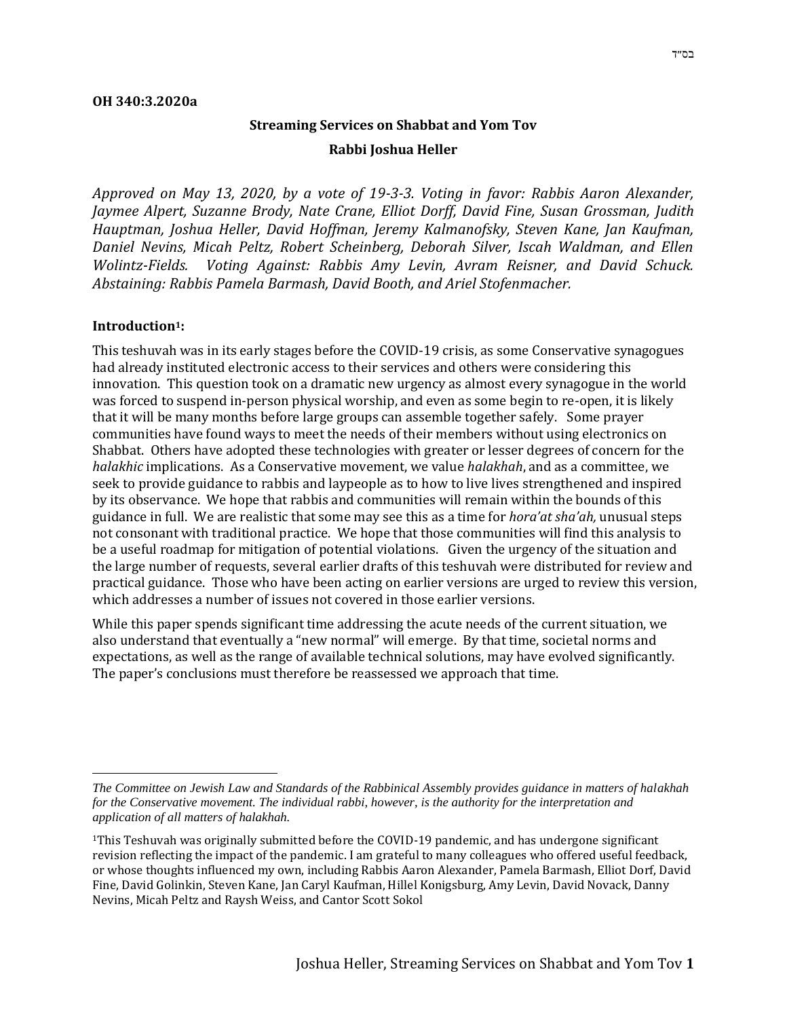# **Streaming Services on Shabbat and Yom Tov Rabbi Joshua Heller**

*Approved on May 13, 2020, by a vote of 19-3-3. Voting in favor: Rabbis Aaron Alexander, Jaymee Alpert, Suzanne Brody, Nate Crane, Elliot Dorff, David Fine, Susan Grossman, Judith Hauptman, Joshua Heller, David Hoffman, Jeremy Kalmanofsky, Steven Kane, Jan Kaufman, Daniel Nevins, Micah Peltz, Robert Scheinberg, Deborah Silver, Iscah Waldman, and Ellen Wolintz-Fields. Voting Against: Rabbis Amy Levin, Avram Reisner, and David Schuck. Abstaining: Rabbis Pamela Barmash, David Booth, and Ariel Stofenmacher.*

#### **Introduction1:**

This teshuvah was in its early stages before the COVID-19 crisis, as some Conservative synagogues had already instituted electronic access to their services and others were considering this innovation. This question took on a dramatic new urgency as almost every synagogue in the world was forced to suspend in-person physical worship, and even as some begin to re-open, it is likely that it will be many months before large groups can assemble together safely. Some prayer communities have found ways to meet the needs of their members without using electronics on Shabbat. Others have adopted these technologies with greater or lesser degrees of concern for the *halakhic* implications. As a Conservative movement, we value *halakhah*, and as a committee, we seek to provide guidance to rabbis and laypeople as to how to live lives strengthened and inspired by its observance. We hope that rabbis and communities will remain within the bounds of this guidance in full. We are realistic that some may see this as a time for *hora'at sha'ah,* unusual steps not consonant with traditional practice. We hope that those communities will find this analysis to be a useful roadmap for mitigation of potential violations. Given the urgency of the situation and the large number of requests, several earlier drafts of this teshuvah were distributed for review and practical guidance. Those who have been acting on earlier versions are urged to review this version, which addresses a number of issues not covered in those earlier versions.

While this paper spends significant time addressing the acute needs of the current situation, we also understand that eventually a "new normal" will emerge. By that time, societal norms and expectations, as well as the range of available technical solutions, may have evolved significantly. The paper's conclusions must therefore be reassessed we approach that time.

*The Committee on Jewish Law and Standards of the Rabbinical Assembly provides guidance in matters of halakhah for the Conservative movement. The individual rabbi, however, is the authority for the interpretation and application of all matters of halakhah.*

<sup>1</sup>This Teshuvah was originally submitted before the COVID-19 pandemic, and has undergone significant revision reflecting the impact of the pandemic. I am grateful to many colleagues who offered useful feedback, or whose thoughts influenced my own, including Rabbis Aaron Alexander, Pamela Barmash, Elliot Dorf, David Fine, David Golinkin, Steven Kane, Jan Caryl Kaufman, Hillel Konigsburg, Amy Levin, David Novack, Danny Nevins, Micah Peltz and Raysh Weiss, and Cantor Scott Sokol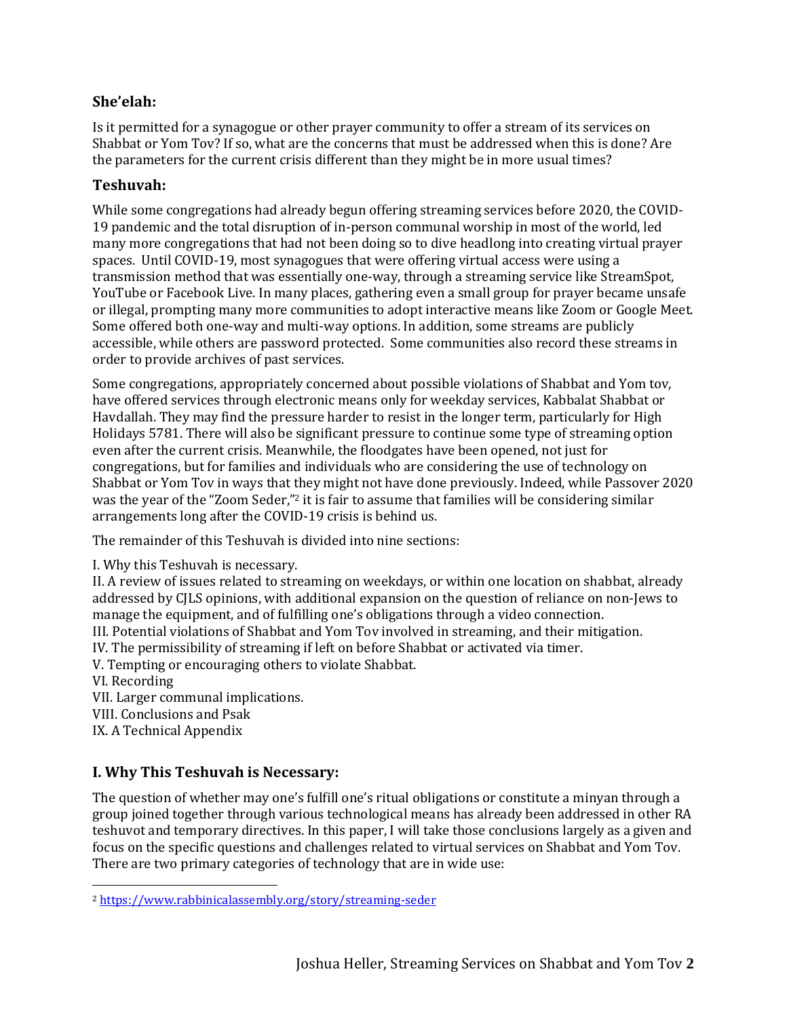### **She'elah:**

Is it permitted for a synagogue or other prayer community to offer a stream of its services on Shabbat or Yom Tov? If so, what are the concerns that must be addressed when this is done? Are the parameters for the current crisis different than they might be in more usual times?

### **Teshuvah:**

While some congregations had already begun offering streaming services before 2020, the COVID-19 pandemic and the total disruption of in-person communal worship in most of the world, led many more congregations that had not been doing so to dive headlong into creating virtual prayer spaces. Until COVID-19, most synagogues that were offering virtual access were using a transmission method that was essentially one-way, through a streaming service like StreamSpot, YouTube or Facebook Live. In many places, gathering even a small group for prayer became unsafe or illegal, prompting many more communities to adopt interactive means like Zoom or Google Meet. Some offered both one-way and multi-way options. In addition, some streams are publicly accessible, while others are password protected. Some communities also record these streams in order to provide archives of past services.

Some congregations, appropriately concerned about possible violations of Shabbat and Yom tov, have offered services through electronic means only for weekday services, Kabbalat Shabbat or Havdallah. They may find the pressure harder to resist in the longer term, particularly for High Holidays 5781. There will also be significant pressure to continue some type of streaming option even after the current crisis. Meanwhile, the floodgates have been opened, not just for congregations, but for families and individuals who are considering the use of technology on Shabbat or Yom Tov in ways that they might not have done previously. Indeed, while Passover 2020 was the year of the "Zoom Seder," <sup>2</sup> it is fair to assume that families will be considering similar arrangements long after the COVID-19 crisis is behind us.

The remainder of this Teshuvah is divided into nine sections:

I. Why this Teshuvah is necessary.

II. A review of issues related to streaming on weekdays, or within one location on shabbat, already addressed by CJLS opinions, with additional expansion on the question of reliance on non-Jews to manage the equipment, and of fulfilling one's obligations through a video connection.

III. Potential violations of Shabbat and Yom Tov involved in streaming, and their mitigation.

IV. The permissibility of streaming if left on before Shabbat or activated via timer.

V. Tempting or encouraging others to violate Shabbat.

VI. Recording

VII. Larger communal implications.

VIII. Conclusions and Psak

IX. A Technical Appendix

# **I. Why This Teshuvah is Necessary:**

The question of whether may one's fulfill one's ritual obligations or constitute a minyan through a group joined together through various technological means has already been addressed in other RA teshuvot and temporary directives. In this paper, I will take those conclusions largely as a given and focus on the specific questions and challenges related to virtual services on Shabbat and Yom Tov. There are two primary categories of technology that are in wide use:

<sup>2</sup> <https://www.rabbinicalassembly.org/story/streaming-seder>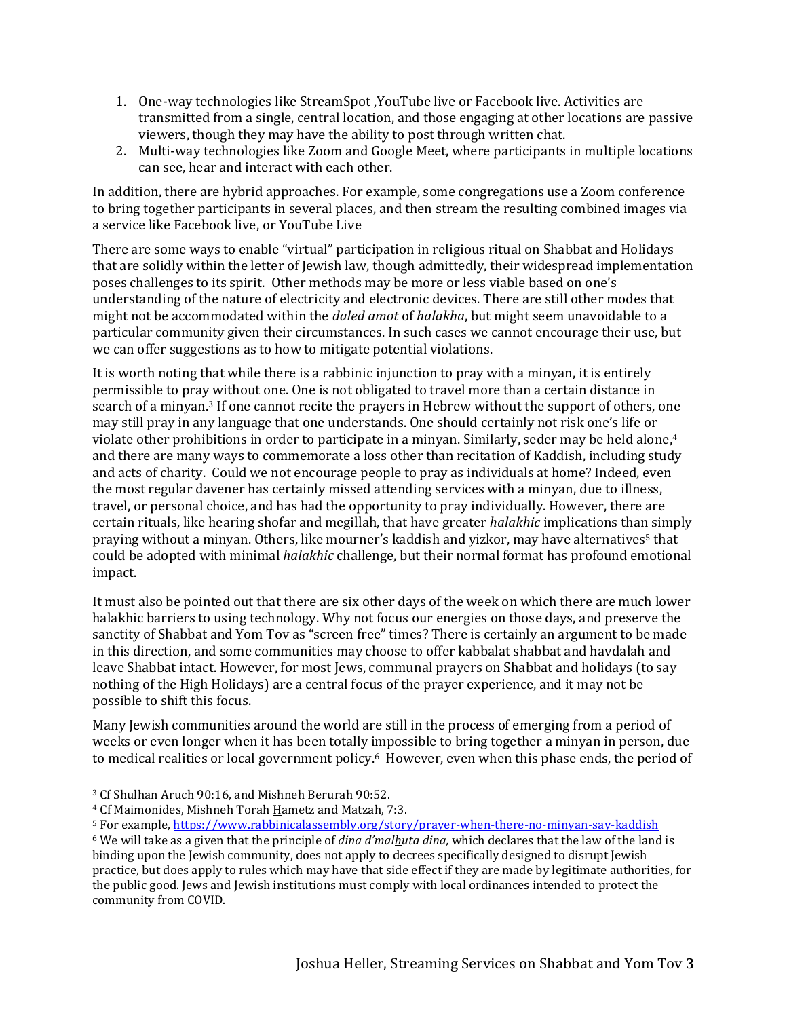- 1. One-way technologies like StreamSpot ,YouTube live or Facebook live. Activities are transmitted from a single, central location, and those engaging at other locations are passive viewers, though they may have the ability to post through written chat.
- 2. Multi-way technologies like Zoom and Google Meet, where participants in multiple locations can see, hear and interact with each other.

In addition, there are hybrid approaches. For example, some congregations use a Zoom conference to bring together participants in several places, and then stream the resulting combined images via a service like Facebook live, or YouTube Live

There are some ways to enable "virtual" participation in religious ritual on Shabbat and Holidays that are solidly within the letter of Jewish law, though admittedly, their widespread implementation poses challenges to its spirit. Other methods may be more or less viable based on one's understanding of the nature of electricity and electronic devices. There are still other modes that might not be accommodated within the *daled amot* of *halakha*, but might seem unavoidable to a particular community given their circumstances. In such cases we cannot encourage their use, but we can offer suggestions as to how to mitigate potential violations.

It is worth noting that while there is a rabbinic injunction to pray with a minyan, it is entirely permissible to pray without one. One is not obligated to travel more than a certain distance in search of a minyan.<sup>3</sup> If one cannot recite the prayers in Hebrew without the support of others, one may still pray in any language that one understands. One should certainly not risk one's life or violate other prohibitions in order to participate in a minyan. Similarly, seder may be held alone, 4 and there are many ways to commemorate a loss other than recitation of Kaddish, including study and acts of charity. Could we not encourage people to pray as individuals at home? Indeed, even the most regular davener has certainly missed attending services with a minyan, due to illness, travel, or personal choice, and has had the opportunity to pray individually. However, there are certain rituals, like hearing shofar and megillah, that have greater *halakhic* implications than simply praying without a minyan. Others, like mourner's kaddish and yizkor, may have alternatives<sup>5</sup> that could be adopted with minimal *halakhic* challenge, but their normal format has profound emotional impact.

It must also be pointed out that there are six other days of the week on which there are much lower halakhic barriers to using technology. Why not focus our energies on those days, and preserve the sanctity of Shabbat and Yom Tov as "screen free" times? There is certainly an argument to be made in this direction, and some communities may choose to offer kabbalat shabbat and havdalah and leave Shabbat intact. However, for most Jews, communal prayers on Shabbat and holidays (to say nothing of the High Holidays) are a central focus of the prayer experience, and it may not be possible to shift this focus.

Many Jewish communities around the world are still in the process of emerging from a period of weeks or even longer when it has been totally impossible to bring together a minyan in person, due to medical realities or local government policy.<sup>6</sup> However, even when this phase ends, the period of

<sup>3</sup> Cf Shulhan Aruch 90:16, and Mishneh Berurah 90:52.

<sup>4</sup> Cf Maimonides, Mishneh Torah Hametz and Matzah, 7:3.

<sup>&</sup>lt;sup>5</sup> For example,<https://www.rabbinicalassembly.org/story/prayer-when-there-no-minyan-say-kaddish>

<sup>6</sup> We will take as a given that the principle of *dina d'malhuta dina,* which declares that the law of the land is binding upon the Jewish community, does not apply to decrees specifically designed to disrupt Jewish practice, but does apply to rules which may have that side effect if they are made by legitimate authorities, for the public good. Jews and Jewish institutions must comply with local ordinances intended to protect the community from COVID.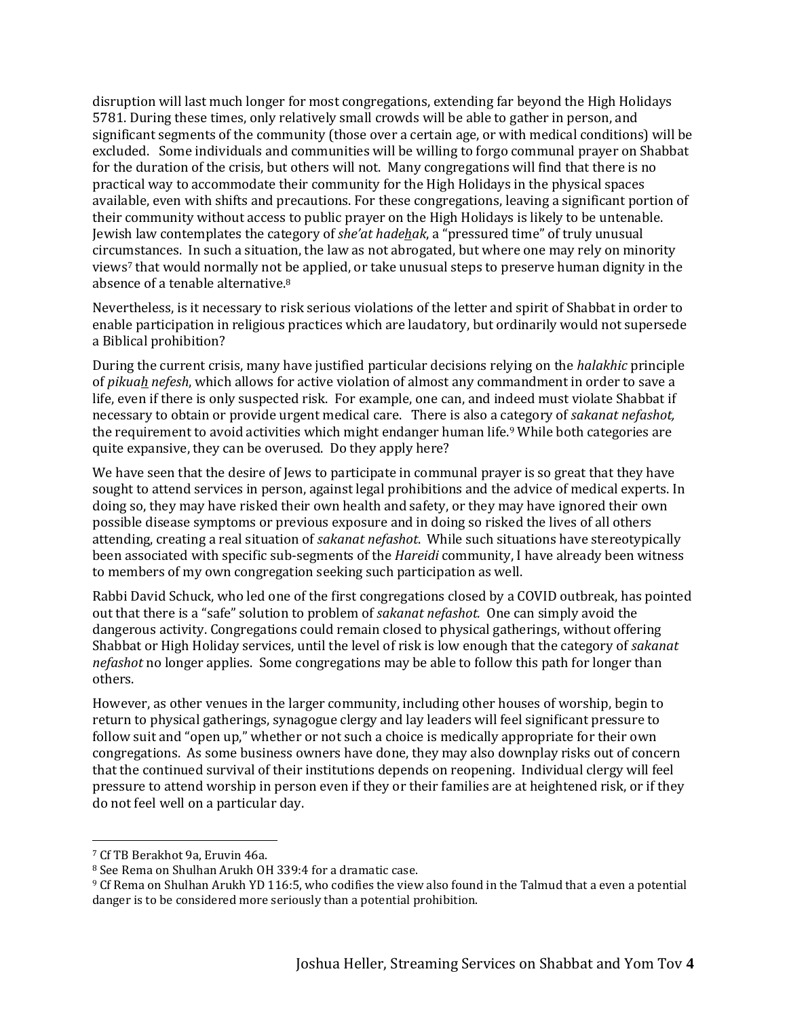disruption will last much longer for most congregations, extending far beyond the High Holidays 5781. During these times, only relatively small crowds will be able to gather in person, and significant segments of the community (those over a certain age, or with medical conditions) will be excluded. Some individuals and communities will be willing to forgo communal prayer on Shabbat for the duration of the crisis, but others will not. Many congregations will find that there is no practical way to accommodate their community for the High Holidays in the physical spaces available, even with shifts and precautions. For these congregations, leaving a significant portion of their community without access to public prayer on the High Holidays is likely to be untenable. Jewish law contemplates the category of *she'at hadehak*, a "pressured time" of truly unusual circumstances. In such a situation, the law as not abrogated, but where one may rely on minority views<sup>7</sup> that would normally not be applied, or take unusual steps to preserve human dignity in the absence of a tenable alternative.<sup>8</sup>

Nevertheless, is it necessary to risk serious violations of the letter and spirit of Shabbat in order to enable participation in religious practices which are laudatory, but ordinarily would not supersede a Biblical prohibition?

During the current crisis, many have justified particular decisions relying on the *halakhic* principle of *pikuah nefesh*, which allows for active violation of almost any commandment in order to save a life, even if there is only suspected risk. For example, one can, and indeed must violate Shabbat if necessary to obtain or provide urgent medical care. There is also a category of *sakanat nefashot,* the requirement to avoid activities which might endanger human life.<sup>9</sup> While both categories are quite expansive, they can be overused. Do they apply here?

We have seen that the desire of Jews to participate in communal prayer is so great that they have sought to attend services in person, against legal prohibitions and the advice of medical experts. In doing so, they may have risked their own health and safety, or they may have ignored their own possible disease symptoms or previous exposure and in doing so risked the lives of all others attending, creating a real situation of *sakanat nefashot*. While such situations have stereotypically been associated with specific sub-segments of the *Hareidi* community, I have already been witness to members of my own congregation seeking such participation as well.

Rabbi David Schuck, who led one of the first congregations closed by a COVID outbreak, has pointed out that there is a "safe" solution to problem of *sakanat nefashot.* One can simply avoid the dangerous activity. Congregations could remain closed to physical gatherings, without offering Shabbat or High Holiday services, until the level of risk is low enough that the category of *sakanat nefashot* no longer applies. Some congregations may be able to follow this path for longer than others.

However, as other venues in the larger community, including other houses of worship, begin to return to physical gatherings, synagogue clergy and lay leaders will feel significant pressure to follow suit and "open up," whether or not such a choice is medically appropriate for their own congregations. As some business owners have done, they may also downplay risks out of concern that the continued survival of their institutions depends on reopening. Individual clergy will feel pressure to attend worship in person even if they or their families are at heightened risk, or if they do not feel well on a particular day.

<sup>7</sup> Cf TB Berakhot 9a, Eruvin 46a.

<sup>8</sup> See Rema on Shulhan Arukh OH 339:4 for a dramatic case.

<sup>9</sup> Cf Rema on Shulhan Arukh YD 116:5, who codifies the view also found in the Talmud that a even a potential danger is to be considered more seriously than a potential prohibition.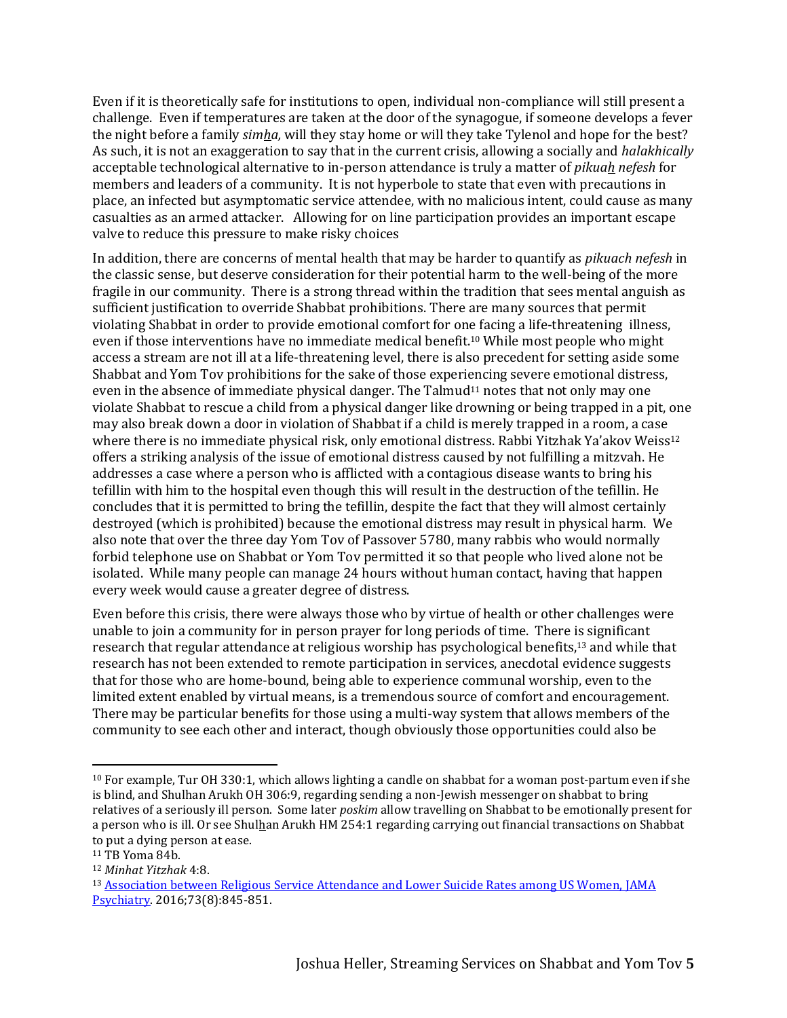Even if it is theoretically safe for institutions to open, individual non-compliance will still present a challenge. Even if temperatures are taken at the door of the synagogue, if someone develops a fever the night before a family *simha,* will they stay home or will they take Tylenol and hope for the best? As such, it is not an exaggeration to say that in the current crisis, allowing a socially and *halakhically* acceptable technological alternative to in-person attendance is truly a matter of *pikuah nefesh* for members and leaders of a community. It is not hyperbole to state that even with precautions in place, an infected but asymptomatic service attendee, with no malicious intent, could cause as many casualties as an armed attacker. Allowing for on line participation provides an important escape valve to reduce this pressure to make risky choices

In addition, there are concerns of mental health that may be harder to quantify as *pikuach nefesh* in the classic sense, but deserve consideration for their potential harm to the well-being of the more fragile in our community. There is a strong thread within the tradition that sees mental anguish as sufficient justification to override Shabbat prohibitions. There are many sources that permit violating Shabbat in order to provide emotional comfort for one facing a life-threatening illness, even if those interventions have no immediate medical benefit.<sup>10</sup> While most people who might access a stream are not ill at a life-threatening level, there is also precedent for setting aside some Shabbat and Yom Tov prohibitions for the sake of those experiencing severe emotional distress, even in the absence of immediate physical danger. The Talmud<sup>11</sup> notes that not only may one violate Shabbat to rescue a child from a physical danger like drowning or being trapped in a pit, one may also break down a door in violation of Shabbat if a child is merely trapped in a room, a case where there is no immediate physical risk, only emotional distress. Rabbi Yitzhak Ya'akov Weiss<sup>12</sup> offers a striking analysis of the issue of emotional distress caused by not fulfilling a mitzvah. He addresses a case where a person who is afflicted with a contagious disease wants to bring his tefillin with him to the hospital even though this will result in the destruction of the tefillin. He concludes that it is permitted to bring the tefillin, despite the fact that they will almost certainly destroyed (which is prohibited) because the emotional distress may result in physical harm. We also note that over the three day Yom Tov of Passover 5780, many rabbis who would normally forbid telephone use on Shabbat or Yom Tov permitted it so that people who lived alone not be isolated. While many people can manage 24 hours without human contact, having that happen every week would cause a greater degree of distress.

Even before this crisis, there were always those who by virtue of health or other challenges were unable to join a community for in person prayer for long periods of time. There is significant research that regular attendance at religious worship has psychological benefits,<sup>13</sup> and while that research has not been extended to remote participation in services, anecdotal evidence suggests that for those who are home-bound, being able to experience communal worship, even to the limited extent enabled by virtual means, is a tremendous source of comfort and encouragement. There may be particular benefits for those using a multi-way system that allows members of the community to see each other and interact, though obviously those opportunities could also be

 $10$  For example, Tur OH 330:1, which allows lighting a candle on shabbat for a woman post-partum even if she is blind, and Shulhan Arukh OH 306:9, regarding sending a non-Jewish messenger on shabbat to bring relatives of a seriously ill person. Some later *poskim* allow travelling on Shabbat to be emotionally present for a person who is ill. Or see Shulhan Arukh HM 254:1 regarding carrying out financial transactions on Shabbat to put a dying person at ease.

<sup>11</sup> TB Yoma 84b.

<sup>12</sup> *Minhat Yitzhak* 4:8.

<sup>13</sup> [Association between Religious Service Attendance and Lower Suicide Rates among US Women, JAMA](https://jamanetwork.com/journals/jamapsychiatry/fullarticle/2529152)  [Psychiatry.](https://jamanetwork.com/journals/jamapsychiatry/fullarticle/2529152) 2016;73(8):845-851.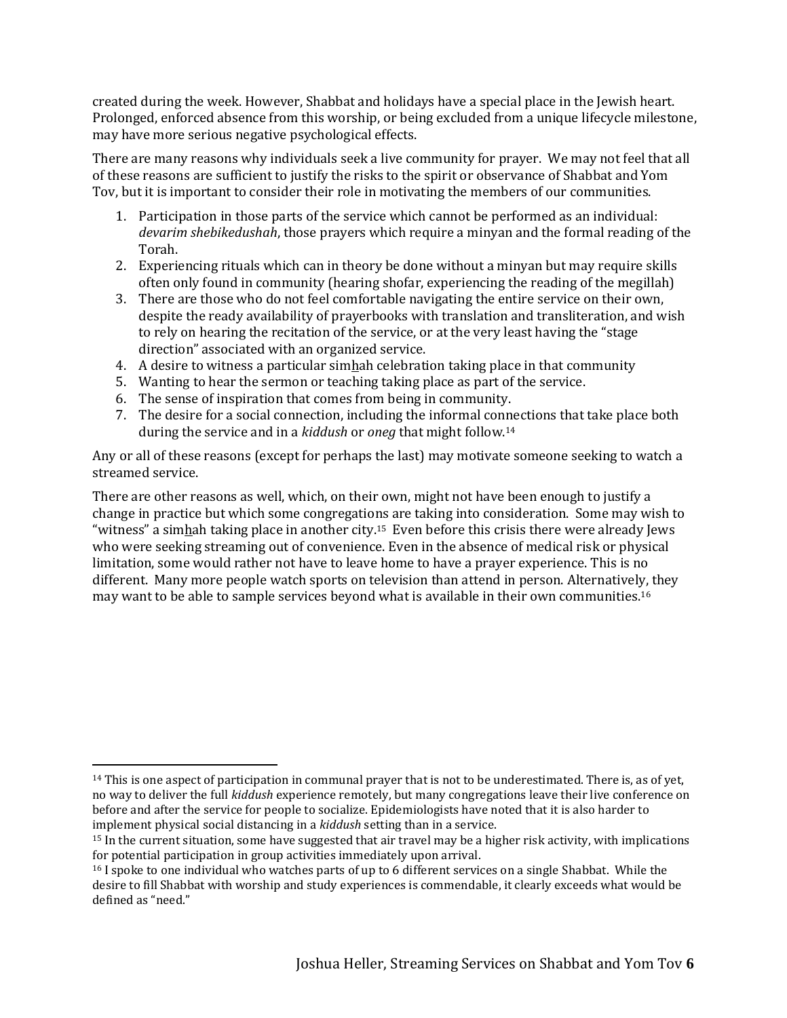created during the week. However, Shabbat and holidays have a special place in the Jewish heart. Prolonged, enforced absence from this worship, or being excluded from a unique lifecycle milestone, may have more serious negative psychological effects.

There are many reasons why individuals seek a live community for prayer. We may not feel that all of these reasons are sufficient to justify the risks to the spirit or observance of Shabbat and Yom Tov, but it is important to consider their role in motivating the members of our communities.

- 1. Participation in those parts of the service which cannot be performed as an individual: *devarim shebikedushah*, those prayers which require a minyan and the formal reading of the Torah.
- 2. Experiencing rituals which can in theory be done without a minyan but may require skills often only found in community (hearing shofar, experiencing the reading of the megillah)
- 3. There are those who do not feel comfortable navigating the entire service on their own, despite the ready availability of prayerbooks with translation and transliteration, and wish to rely on hearing the recitation of the service, or at the very least having the "stage direction" associated with an organized service.
- 4. A desire to witness a particular simhah celebration taking place in that community
- 5. Wanting to hear the sermon or teaching taking place as part of the service.
- 6. The sense of inspiration that comes from being in community.
- 7. The desire for a social connection, including the informal connections that take place both during the service and in a *kiddush* or *oneg* that might follow.<sup>14</sup>

Any or all of these reasons (except for perhaps the last) may motivate someone seeking to watch a streamed service.

There are other reasons as well, which, on their own, might not have been enough to justify a change in practice but which some congregations are taking into consideration. Some may wish to "witness" a simhah taking place in another city.<sup>15</sup> Even before this crisis there were already Jews who were seeking streaming out of convenience. Even in the absence of medical risk or physical limitation, some would rather not have to leave home to have a prayer experience. This is no different. Many more people watch sports on television than attend in person. Alternatively, they may want to be able to sample services beyond what is available in their own communities.<sup>16</sup>

 $14$  This is one aspect of participation in communal prayer that is not to be underestimated. There is, as of yet, no way to deliver the full *kiddush* experience remotely, but many congregations leave their live conference on before and after the service for people to socialize. Epidemiologists have noted that it is also harder to implement physical social distancing in a *kiddush* setting than in a service.

<sup>15</sup> In the current situation, some have suggested that air travel may be a higher risk activity, with implications for potential participation in group activities immediately upon arrival.

<sup>&</sup>lt;sup>16</sup> I spoke to one individual who watches parts of up to 6 different services on a single Shabbat. While the desire to fill Shabbat with worship and study experiences is commendable, it clearly exceeds what would be defined as "need."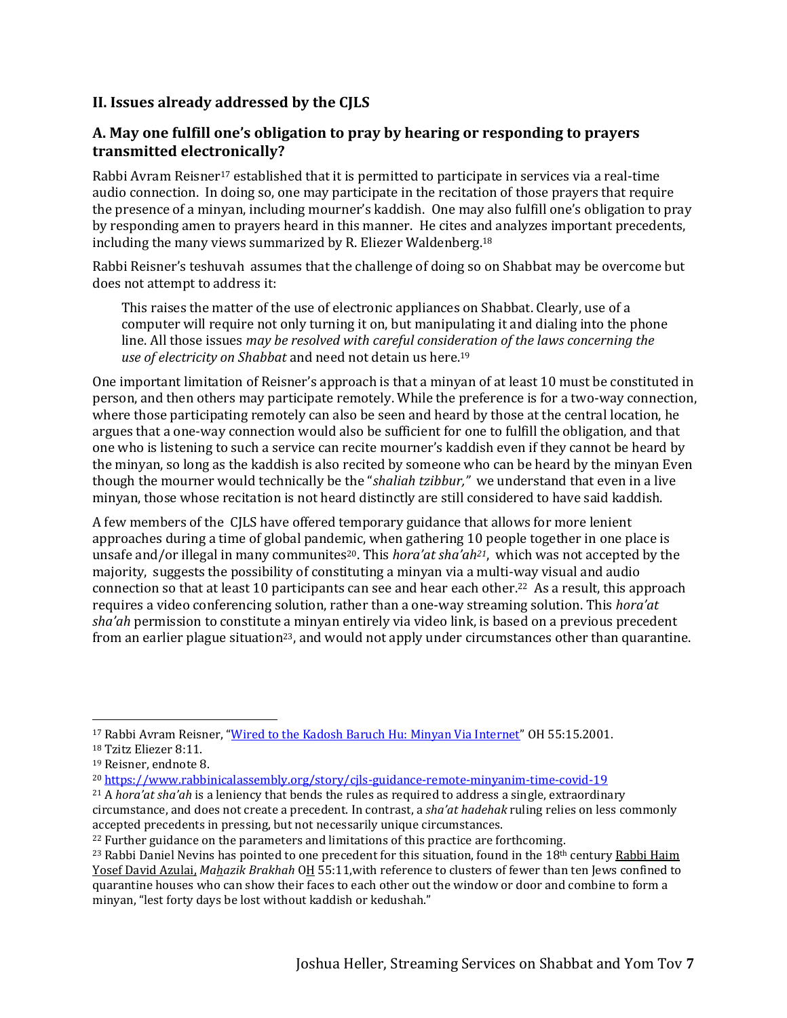# **II. Issues already addressed by the CJLS**

# **A. May one fulfill one's obligation to pray by hearing or responding to prayers transmitted electronically?**

Rabbi Avram Reisner<sup>17</sup> established that it is permitted to participate in services via a real-time audio connection. In doing so, one may participate in the recitation of those prayers that require the presence of a minyan, including mourner's kaddish. One may also fulfill one's obligation to pray by responding amen to prayers heard in this manner. He cites and analyzes important precedents, including the many views summarized by R. Eliezer Waldenberg. 18

Rabbi Reisner's teshuvah assumes that the challenge of doing so on Shabbat may be overcome but does not attempt to address it:

This raises the matter of the use of electronic appliances on Shabbat. Clearly, use of a computer will require not only turning it on, but manipulating it and dialing into the phone line. All those issues *may be resolved with careful consideration of the laws concerning the use of electricity on Shabbat* and need not detain us here.<sup>19</sup>

One important limitation of Reisner's approach is that a minyan of at least 10 must be constituted in person, and then others may participate remotely. While the preference is for a two-way connection, where those participating remotely can also be seen and heard by those at the central location, he argues that a one-way connection would also be sufficient for one to fulfill the obligation, and that one who is listening to such a service can recite mourner's kaddish even if they cannot be heard by the minyan, so long as the kaddish is also recited by someone who can be heard by the minyan Even though the mourner would technically be the "*shaliah tzibbur,"* we understand that even in a live minyan, those whose recitation is not heard distinctly are still considered to have said kaddish.

A few members of the CJLS have offered temporary guidance that allows for more lenient approaches during a time of global pandemic, when gathering 10 people together in one place is unsafe and/or illegal in many communites<sup>20</sup>. This *hora'at sha'ah*<sup>21</sup>, which was not accepted by the majority, suggests the possibility of constituting a minyan via a multi-way visual and audio connection so that at least 10 participants can see and hear each other.22 As a result, this approach requires a video conferencing solution, rather than a one-way streaming solution. This *hora'at sha'ah* permission to constitute a minyan entirely via video link, is based on a previous precedent from an earlier plague situation<sup>23</sup>, and would not apply under circumstances other than quarantine.

<sup>17</sup> Rabbi Avram Reisner, "[Wired to the Kadosh Baruch Hu: Minyan Via Internet](https://www.rabbinicalassembly.org/sites/default/files/2020-04/Reisner%20-%20Internet.pdf)" OH 55:15.2001.

<sup>18</sup> Tzitz Eliezer 8:11.

<sup>19</sup> Reisner, endnote 8.

<sup>20</sup> <https://www.rabbinicalassembly.org/story/cjls-guidance-remote-minyanim-time-covid-19>

<sup>21</sup> A *hora'at sha'ah* is a leniency that bends the rules as required to address a single, extraordinary circumstance, and does not create a precedent. In contrast, a *sha'at hadehak* ruling relies on less commonly accepted precedents in pressing, but not necessarily unique circumstances.

<sup>&</sup>lt;sup>22</sup> Further guidance on the parameters and limitations of this practice are forthcoming.

<sup>&</sup>lt;sup>23</sup> Rabbi Daniel Nevins has pointed to one precedent for this situation, found in the  $18<sup>th</sup>$  century Rabbi Haim Yosef David Azulai, *Mahazik Brakhah* OH 55:11,with reference to clusters of fewer than ten Jews confined to quarantine houses who can show their faces to each other out the window or door and combine to form a minyan, "lest forty days be lost without kaddish or kedushah."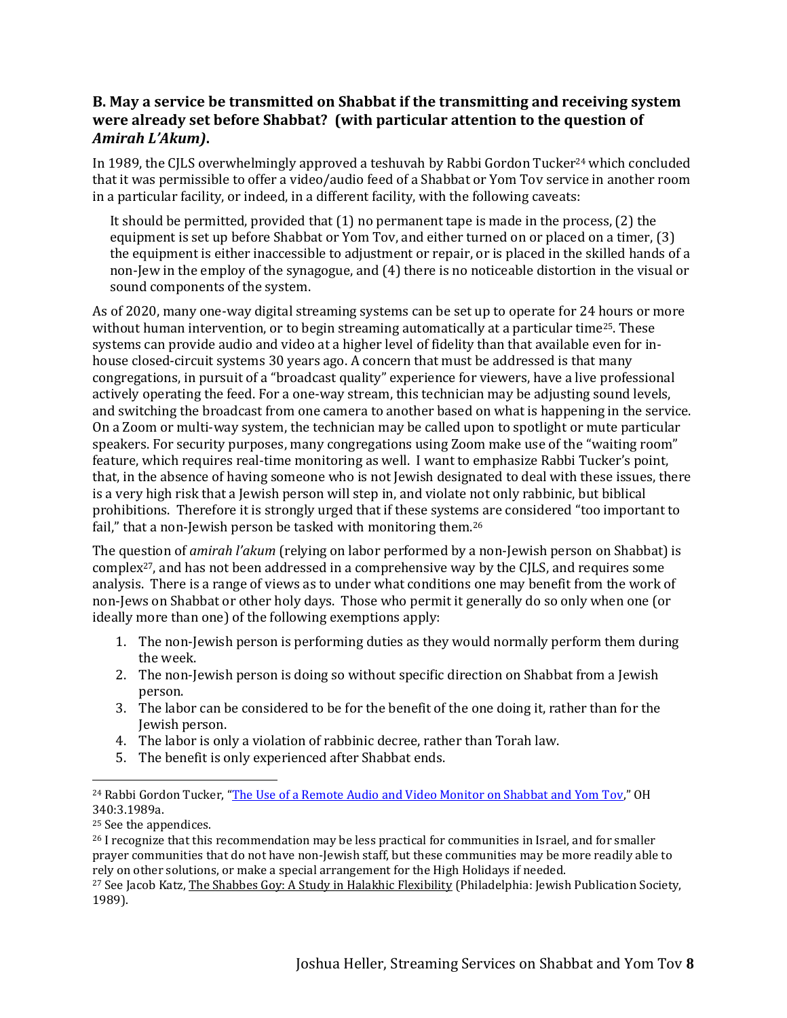# **B. May a service be transmitted on Shabbat if the transmitting and receiving system were already set before Shabbat? (with particular attention to the question of**  *Amirah L'Akum)***.**

In 1989, the CILS overwhelmingly approved a teshuvah by Rabbi Gordon Tucker<sup>24</sup> which concluded that it was permissible to offer a video/audio feed of a Shabbat or Yom Tov service in another room in a particular facility, or indeed, in a different facility, with the following caveats:

It should be permitted, provided that (1) no permanent tape is made in the process, (2) the equipment is set up before Shabbat or Yom Tov, and either turned on or placed on a timer, (3) the equipment is either inaccessible to adjustment or repair, or is placed in the skilled hands of a non-Jew in the employ of the synagogue, and (4) there is no noticeable distortion in the visual or sound components of the system.

As of 2020, many one-way digital streaming systems can be set up to operate for 24 hours or more without human intervention, or to begin streaming automatically at a particular time<sup>25</sup>. These systems can provide audio and video at a higher level of fidelity than that available even for inhouse closed-circuit systems 30 years ago. A concern that must be addressed is that many congregations, in pursuit of a "broadcast quality" experience for viewers, have a live professional actively operating the feed. For a one-way stream, this technician may be adjusting sound levels, and switching the broadcast from one camera to another based on what is happening in the service. On a Zoom or multi-way system, the technician may be called upon to spotlight or mute particular speakers. For security purposes, many congregations using Zoom make use of the "waiting room" feature, which requires real-time monitoring as well. I want to emphasize Rabbi Tucker's point, that, in the absence of having someone who is not Jewish designated to deal with these issues, there is a very high risk that a Jewish person will step in, and violate not only rabbinic, but biblical prohibitions. Therefore it is strongly urged that if these systems are considered "too important to fail," that a non-Jewish person be tasked with monitoring them.<sup>26</sup>

The question of *amirah l'akum* (relying on labor performed by a non-Jewish person on Shabbat) is complex27, and has not been addressed in a comprehensive way by the CJLS, and requires some analysis. There is a range of views as to under what conditions one may benefit from the work of non-Jews on Shabbat or other holy days. Those who permit it generally do so only when one (or ideally more than one) of the following exemptions apply:

- 1. The non-Jewish person is performing duties as they would normally perform them during the week.
- 2. The non-Jewish person is doing so without specific direction on Shabbat from a Jewish person.
- 3. The labor can be considered to be for the benefit of the one doing it, rather than for the Jewish person.
- 4. The labor is only a violation of rabbinic decree, rather than Torah law.
- 5. The benefit is only experienced after Shabbat ends.

<sup>&</sup>lt;sup>24</sup> Rabbi Gordon Tucker, "[The Use of a Remote Audio and Video Monitor on Shabbat and Yom Tov](https://www.rabbinicalassembly.org/sites/default/files/assets/public/halakhah/teshuvot/19861990/tucker_audiovideo.pdf)," OH 340:3.1989a.

<sup>25</sup> See the appendices.

<sup>&</sup>lt;sup>26</sup> I recognize that this recommendation may be less practical for communities in Israel, and for smaller prayer communities that do not have non-Jewish staff, but these communities may be more readily able to rely on other solutions, or make a special arrangement for the High Holidays if needed.

<sup>&</sup>lt;sup>27</sup> See Jacob Katz, The Shabbes Goy: A Study in Halakhic Flexibility (Philadelphia: Jewish Publication Society, 1989).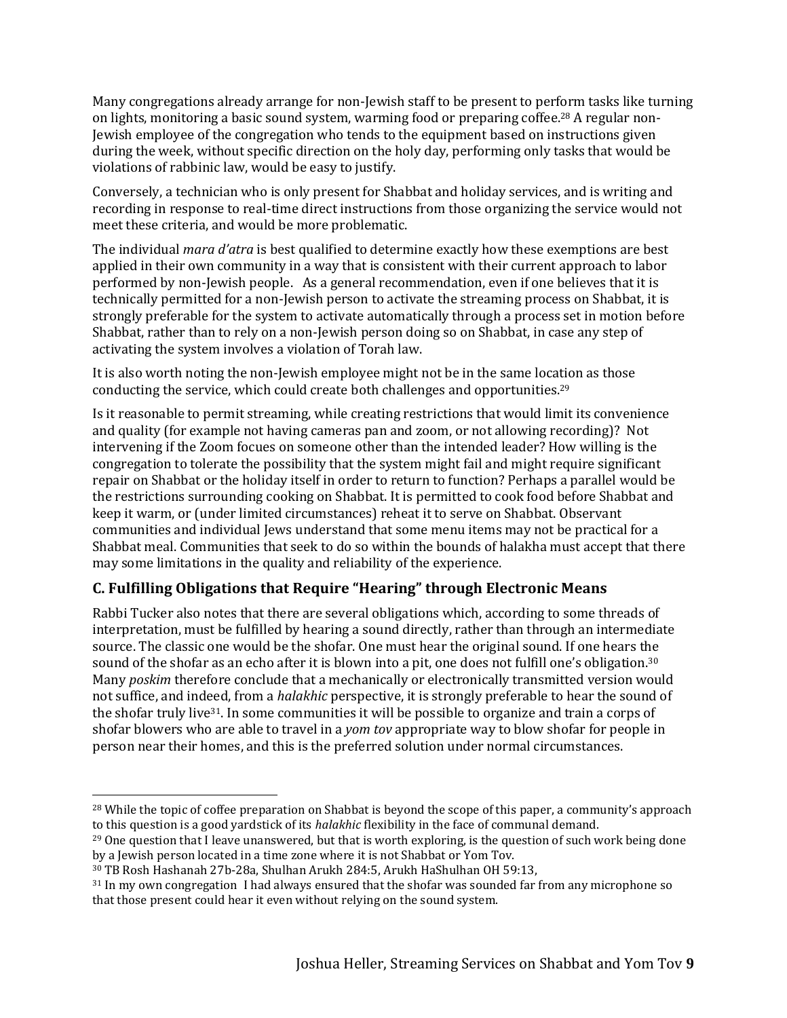Many congregations already arrange for non-Jewish staff to be present to perform tasks like turning on lights, monitoring a basic sound system, warming food or preparing coffee.<sup>28</sup> A regular non-Jewish employee of the congregation who tends to the equipment based on instructions given during the week, without specific direction on the holy day, performing only tasks that would be violations of rabbinic law, would be easy to justify.

Conversely, a technician who is only present for Shabbat and holiday services, and is writing and recording in response to real-time direct instructions from those organizing the service would not meet these criteria, and would be more problematic.

The individual *mara d'atra* is best qualified to determine exactly how these exemptions are best applied in their own community in a way that is consistent with their current approach to labor performed by non-Jewish people. As a general recommendation, even if one believes that it is technically permitted for a non-Jewish person to activate the streaming process on Shabbat, it is strongly preferable for the system to activate automatically through a process set in motion before Shabbat, rather than to rely on a non-Jewish person doing so on Shabbat, in case any step of activating the system involves a violation of Torah law.

It is also worth noting the non-Jewish employee might not be in the same location as those conducting the service, which could create both challenges and opportunities.<sup>29</sup>

Is it reasonable to permit streaming, while creating restrictions that would limit its convenience and quality (for example not having cameras pan and zoom, or not allowing recording)? Not intervening if the Zoom focues on someone other than the intended leader? How willing is the congregation to tolerate the possibility that the system might fail and might require significant repair on Shabbat or the holiday itself in order to return to function? Perhaps a parallel would be the restrictions surrounding cooking on Shabbat. It is permitted to cook food before Shabbat and keep it warm, or (under limited circumstances) reheat it to serve on Shabbat. Observant communities and individual Jews understand that some menu items may not be practical for a Shabbat meal. Communities that seek to do so within the bounds of halakha must accept that there may some limitations in the quality and reliability of the experience.

# **C. Fulfilling Obligations that Require "Hearing" through Electronic Means**

Rabbi Tucker also notes that there are several obligations which, according to some threads of interpretation, must be fulfilled by hearing a sound directly, rather than through an intermediate source. The classic one would be the shofar. One must hear the original sound. If one hears the sound of the shofar as an echo after it is blown into a pit, one does not fulfill one's obligation.<sup>30</sup> Many *poskim* therefore conclude that a mechanically or electronically transmitted version would not suffice, and indeed, from a *halakhic* perspective, it is strongly preferable to hear the sound of the shofar truly live31. In some communities it will be possible to organize and train a corps of shofar blowers who are able to travel in a *yom tov* appropriate way to blow shofar for people in person near their homes, and this is the preferred solution under normal circumstances.

<sup>&</sup>lt;sup>28</sup> While the topic of coffee preparation on Shabbat is beyond the scope of this paper, a community's approach to this question is a good yardstick of its *halakhic* flexibility in the face of communal demand.

<sup>&</sup>lt;sup>29</sup> One question that I leave unanswered, but that is worth exploring, is the question of such work being done by a Jewish person located in a time zone where it is not Shabbat or Yom Tov.

<sup>30</sup> TB Rosh Hashanah 27b-28a, Shulhan Arukh 284:5, Arukh HaShulhan OH 59:13,

<sup>31</sup> In my own congregation I had always ensured that the shofar was sounded far from any microphone so that those present could hear it even without relying on the sound system.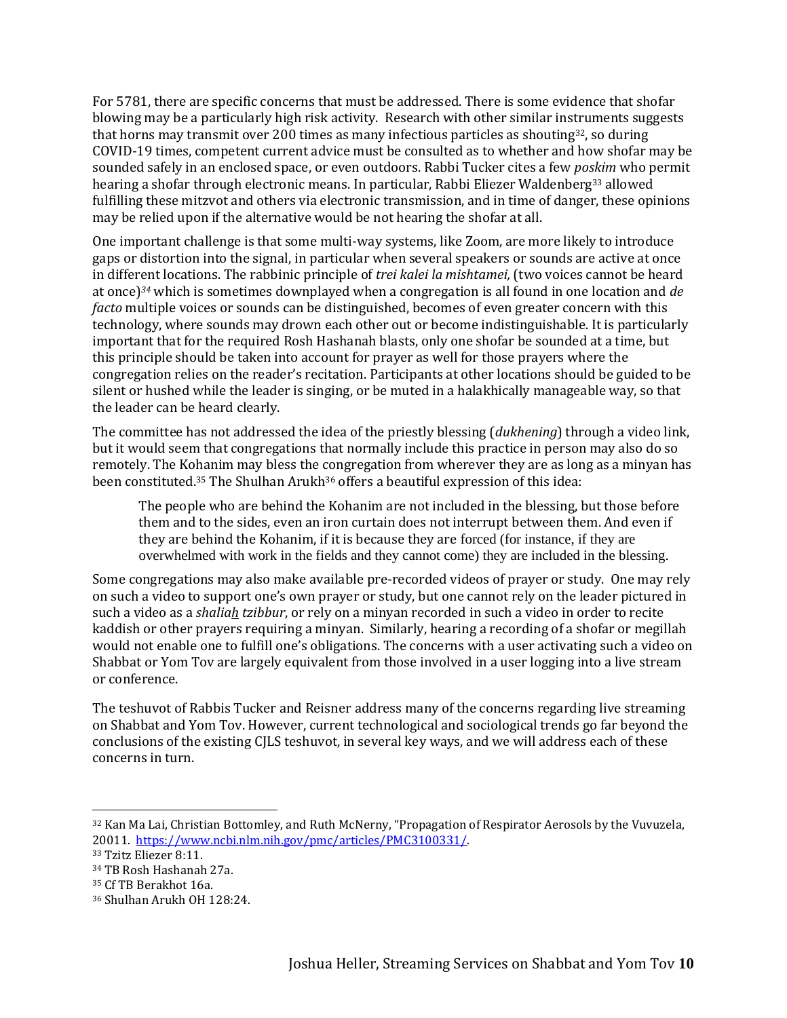For 5781, there are specific concerns that must be addressed. There is some evidence that shofar blowing may be a particularly high risk activity. Research with other similar instruments suggests that horns may transmit over 200 times as many infectious particles as shouting $32$ , so during COVID-19 times, competent current advice must be consulted as to whether and how shofar may be sounded safely in an enclosed space, or even outdoors. Rabbi Tucker cites a few *poskim* who permit hearing a shofar through electronic means. In particular, Rabbi Eliezer Waldenberg<sup>33</sup> allowed fulfilling these mitzvot and others via electronic transmission, and in time of danger, these opinions may be relied upon if the alternative would be not hearing the shofar at all.

One important challenge is that some multi-way systems, like Zoom, are more likely to introduce gaps or distortion into the signal, in particular when several speakers or sounds are active at once in different locations. The rabbinic principle of *trei kalei la mishtamei,* (two voices cannot be heard at once)*<sup>34</sup>* which is sometimes downplayed when a congregation is all found in one location and *de facto* multiple voices or sounds can be distinguished, becomes of even greater concern with this technology, where sounds may drown each other out or become indistinguishable. It is particularly important that for the required Rosh Hashanah blasts, only one shofar be sounded at a time, but this principle should be taken into account for prayer as well for those prayers where the congregation relies on the reader's recitation. Participants at other locations should be guided to be silent or hushed while the leader is singing, or be muted in a halakhically manageable way, so that the leader can be heard clearly.

The committee has not addressed the idea of the priestly blessing (*dukhening*) through a video link, but it would seem that congregations that normally include this practice in person may also do so remotely. The Kohanim may bless the congregation from wherever they are as long as a minyan has been constituted.<sup>35</sup> The Shulhan Arukh<sup>36</sup> offers a beautiful expression of this idea:

The people who are behind the Kohanim are not included in the blessing, but those before them and to the sides, even an iron curtain does not interrupt between them. And even if they are behind the Kohanim, if it is because they are forced (for instance, if they are overwhelmed with work in the fields and they cannot come) they are included in the blessing.

Some congregations may also make available pre-recorded videos of prayer or study. One may rely on such a video to support one's own prayer or study, but one cannot rely on the leader pictured in such a video as a *shaliah tzibbur*, or rely on a minyan recorded in such a video in order to recite kaddish or other prayers requiring a minyan. Similarly, hearing a recording of a shofar or megillah would not enable one to fulfill one's obligations. The concerns with a user activating such a video on Shabbat or Yom Tov are largely equivalent from those involved in a user logging into a live stream or conference.

The teshuvot of Rabbis Tucker and Reisner address many of the concerns regarding live streaming on Shabbat and Yom Tov. However, current technological and sociological trends go far beyond the conclusions of the existing CJLS teshuvot, in several key ways, and we will address each of these concerns in turn.

<sup>32</sup> Kan Ma Lai, Christian Bottomley, and Ruth McNerny, "Propagation of Respirator Aerosols by the Vuvuzela, 20011. [https://www.ncbi.nlm.nih.gov/pmc/articles/PMC3100331/.](https://www.ncbi.nlm.nih.gov/pmc/articles/PMC3100331/)

<sup>33</sup> Tzitz Eliezer 8:11.

<sup>34</sup> TB Rosh Hashanah 27a.

<sup>35</sup> Cf TB Berakhot 16a.

<sup>36</sup> Shulhan Arukh OH 128:24.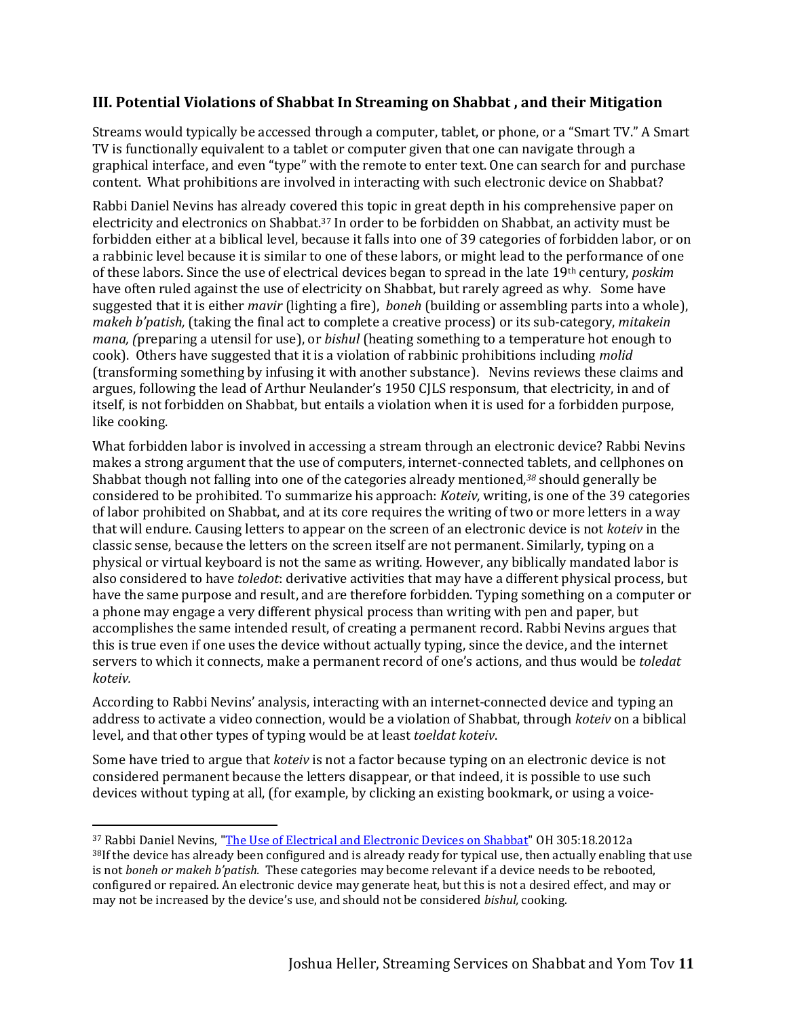### **III. Potential Violations of Shabbat In Streaming on Shabbat , and their Mitigation**

Streams would typically be accessed through a computer, tablet, or phone, or a "Smart TV." A Smart TV is functionally equivalent to a tablet or computer given that one can navigate through a graphical interface, and even "type" with the remote to enter text. One can search for and purchase content. What prohibitions are involved in interacting with such electronic device on Shabbat?

Rabbi Daniel Nevins has already covered this topic in great depth in his comprehensive paper on electricity and electronics on Shabbat.<sup>37</sup> In order to be forbidden on Shabbat, an activity must be forbidden either at a biblical level, because it falls into one of 39 categories of forbidden labor, or on a rabbinic level because it is similar to one of these labors, or might lead to the performance of one of these labors. Since the use of electrical devices began to spread in the late 19th century, *poskim* have often ruled against the use of electricity on Shabbat, but rarely agreed as why. Some have suggested that it is either *mavir* (lighting a fire), *boneh* (building or assembling parts into a whole), *makeh b'patish,* (taking the final act to complete a creative process) or its sub-category, *mitakein mana, (*preparing a utensil for use), or *bishul* (heating something to a temperature hot enough to cook). Others have suggested that it is a violation of rabbinic prohibitions including *molid* (transforming something by infusing it with another substance). Nevins reviews these claims and argues, following the lead of Arthur Neulander's 1950 CJLS responsum, that electricity, in and of itself, is not forbidden on Shabbat, but entails a violation when it is used for a forbidden purpose, like cooking.

What forbidden labor is involved in accessing a stream through an electronic device? Rabbi Nevins makes a strong argument that the use of computers, internet-connected tablets, and cellphones on Shabbat though not falling into one of the categories already mentioned,*<sup>38</sup>* should generally be considered to be prohibited*.* To summarize his approach: *Koteiv,* writing, is one of the 39 categories of labor prohibited on Shabbat, and at its core requires the writing of two or more letters in a way that will endure. Causing letters to appear on the screen of an electronic device is not *koteiv* in the classic sense, because the letters on the screen itself are not permanent. Similarly, typing on a physical or virtual keyboard is not the same as writing. However, any biblically mandated labor is also considered to have *toledot*: derivative activities that may have a different physical process, but have the same purpose and result, and are therefore forbidden. Typing something on a computer or a phone may engage a very different physical process than writing with pen and paper, but accomplishes the same intended result, of creating a permanent record. Rabbi Nevins argues that this is true even if one uses the device without actually typing, since the device, and the internet servers to which it connects, make a permanent record of one's actions, and thus would be *toledat koteiv.*

According to Rabbi Nevins' analysis, interacting with an internet-connected device and typing an address to activate a video connection, would be a violation of Shabbat, through *koteiv* on a biblical level, and that other types of typing would be at least *toeldat koteiv*.

Some have tried to argue that *koteiv* is not a factor because typing on an electronic device is not considered permanent because the letters disappear, or that indeed, it is possible to use such devices without typing at all, (for example, by clicking an existing bookmark, or using a voice-

<sup>&</sup>lt;sup>37</sup> Rabbi Daniel Nevins, ["The Use of Electrical and Electronic Devices on Shabbat"](https://www.rabbinicalassembly.org/sites/default/files/assets/public/halakhah/teshuvot/2011-2020/electrical-electronic-devices-shabbat.pdf) OH 305:18.2012a <sup>38</sup>If the device has already been configured and is already ready for typical use, then actually enabling that use is not *boneh or makeh b'patish.* These categories may become relevant if a device needs to be rebooted, configured or repaired. An electronic device may generate heat, but this is not a desired effect, and may or may not be increased by the device's use, and should not be considered *bishul,* cooking.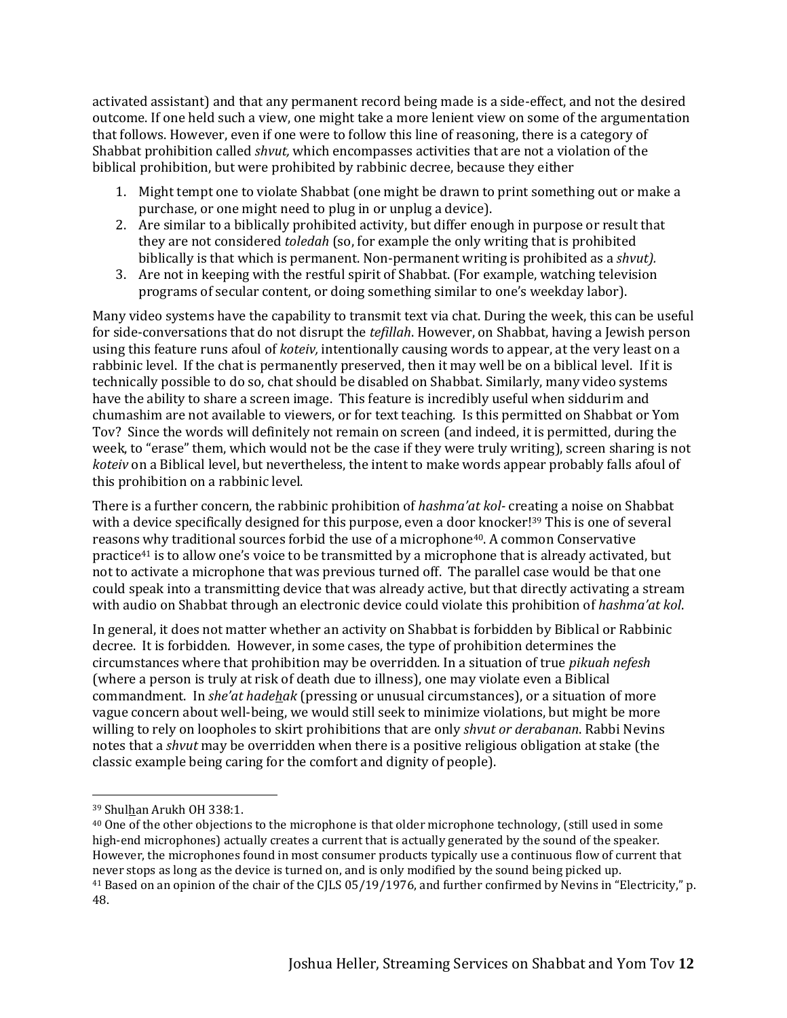activated assistant) and that any permanent record being made is a side-effect, and not the desired outcome. If one held such a view, one might take a more lenient view on some of the argumentation that follows. However, even if one were to follow this line of reasoning, there is a category of Shabbat prohibition called *shvut,* which encompasses activities that are not a violation of the biblical prohibition, but were prohibited by rabbinic decree, because they either

- 1. Might tempt one to violate Shabbat (one might be drawn to print something out or make a purchase, or one might need to plug in or unplug a device).
- 2. Are similar to a biblically prohibited activity, but differ enough in purpose or result that they are not considered *toledah* (so, for example the only writing that is prohibited biblically is that which is permanent. Non-permanent writing is prohibited as a *shvut).*
- 3. Are not in keeping with the restful spirit of Shabbat. (For example, watching television programs of secular content, or doing something similar to one's weekday labor).

Many video systems have the capability to transmit text via chat. During the week, this can be useful for side-conversations that do not disrupt the *tefillah*. However, on Shabbat, having a Jewish person using this feature runs afoul of *koteiv,* intentionally causing words to appear, at the very least on a rabbinic level. If the chat is permanently preserved, then it may well be on a biblical level. If it is technically possible to do so, chat should be disabled on Shabbat. Similarly, many video systems have the ability to share a screen image. This feature is incredibly useful when siddurim and chumashim are not available to viewers, or for text teaching. Is this permitted on Shabbat or Yom Tov? Since the words will definitely not remain on screen (and indeed, it is permitted, during the week, to "erase" them, which would not be the case if they were truly writing), screen sharing is not *koteiv* on a Biblical level, but nevertheless, the intent to make words appear probably falls afoul of this prohibition on a rabbinic level.

There is a further concern, the rabbinic prohibition of *hashma'at kol-* creating a noise on Shabbat with a device specifically designed for this purpose, even a door knocker!<sup>39</sup> This is one of several reasons why traditional sources forbid the use of a microphone40. A common Conservative practice<sup>41</sup> is to allow one's voice to be transmitted by a microphone that is already activated, but not to activate a microphone that was previous turned off. The parallel case would be that one could speak into a transmitting device that was already active, but that directly activating a stream with audio on Shabbat through an electronic device could violate this prohibition of *hashma'at kol*.

In general, it does not matter whether an activity on Shabbat is forbidden by Biblical or Rabbinic decree. It is forbidden. However, in some cases, the type of prohibition determines the circumstances where that prohibition may be overridden. In a situation of true *pikuah nefesh* (where a person is truly at risk of death due to illness), one may violate even a Biblical commandment. In *she'at hadehak* (pressing or unusual circumstances), or a situation of more vague concern about well-being, we would still seek to minimize violations, but might be more willing to rely on loopholes to skirt prohibitions that are only *shvut or derabanan*. Rabbi Nevins notes that a *shvut* may be overridden when there is a positive religious obligation at stake (the classic example being caring for the comfort and dignity of people).

<sup>39</sup> Shulhan Arukh OH 338:1.

<sup>40</sup> One of the other objections to the microphone is that older microphone technology, (still used in some high-end microphones) actually creates a current that is actually generated by the sound of the speaker. However, the microphones found in most consumer products typically use a continuous flow of current that never stops as long as the device is turned on, and is only modified by the sound being picked up. <sup>41</sup> Based on an opinion of the chair of the CJLS 05/19/1976, and further confirmed by Nevins in "Electricity," p. 48.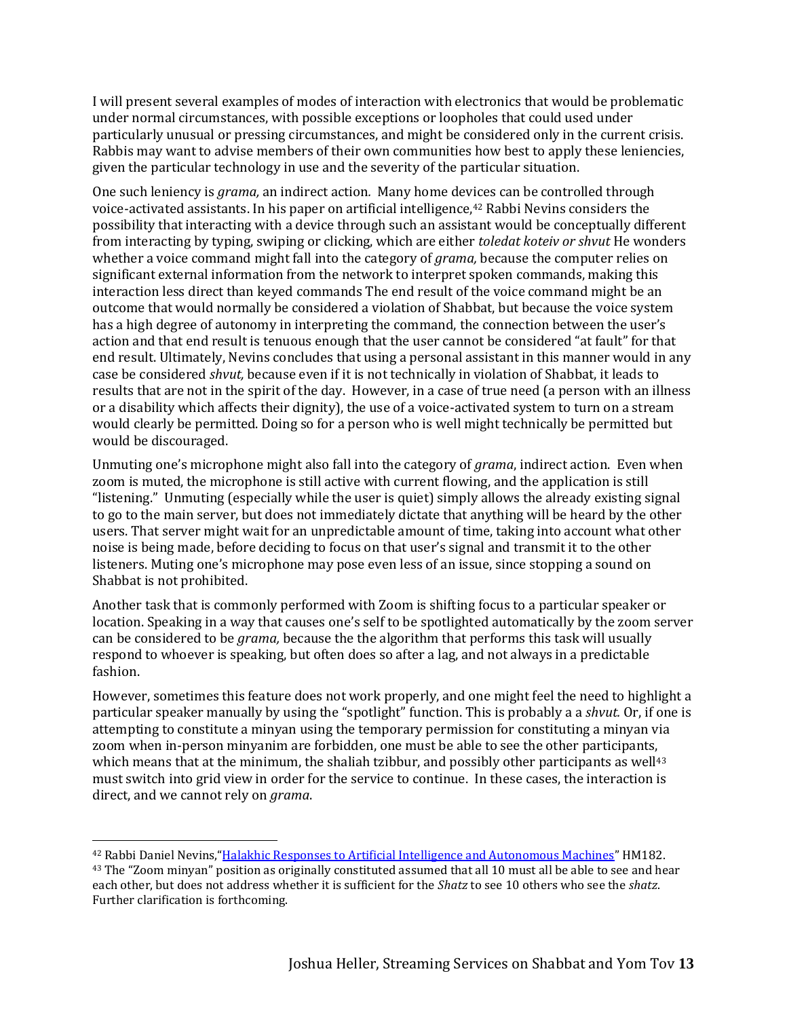I will present several examples of modes of interaction with electronics that would be problematic under normal circumstances, with possible exceptions or loopholes that could used under particularly unusual or pressing circumstances, and might be considered only in the current crisis. Rabbis may want to advise members of their own communities how best to apply these leniencies, given the particular technology in use and the severity of the particular situation.

One such leniency is *grama,* an indirect action*.* Many home devices can be controlled through voice-activated assistants. In his paper on artificial intelligence,<sup>42</sup> Rabbi Nevins considers the possibility that interacting with a device through such an assistant would be conceptually different from interacting by typing, swiping or clicking, which are either *toledat koteiv or shvut* He wonders whether a voice command might fall into the category of *grama,* because the computer relies on significant external information from the network to interpret spoken commands, making this interaction less direct than keyed commands The end result of the voice command might be an outcome that would normally be considered a violation of Shabbat, but because the voice system has a high degree of autonomy in interpreting the command, the connection between the user's action and that end result is tenuous enough that the user cannot be considered "at fault" for that end result. Ultimately, Nevins concludes that using a personal assistant in this manner would in any case be considered *shvut,* because even if it is not technically in violation of Shabbat, it leads to results that are not in the spirit of the day. However, in a case of true need (a person with an illness or a disability which affects their dignity), the use of a voice-activated system to turn on a stream would clearly be permitted. Doing so for a person who is well might technically be permitted but would be discouraged.

Unmuting one's microphone might also fall into the category of *grama*, indirect action. Even when zoom is muted, the microphone is still active with current flowing, and the application is still "listening." Unmuting (especially while the user is quiet) simply allows the already existing signal to go to the main server, but does not immediately dictate that anything will be heard by the other users. That server might wait for an unpredictable amount of time, taking into account what other noise is being made, before deciding to focus on that user's signal and transmit it to the other listeners. Muting one's microphone may pose even less of an issue, since stopping a sound on Shabbat is not prohibited.

Another task that is commonly performed with Zoom is shifting focus to a particular speaker or location. Speaking in a way that causes one's self to be spotlighted automatically by the zoom server can be considered to be *grama,* because the the algorithm that performs this task will usually respond to whoever is speaking, but often does so after a lag, and not always in a predictable fashion.

However, sometimes this feature does not work properly, and one might feel the need to highlight a particular speaker manually by using the "spotlight" function. This is probably a a *shvut.* Or, if one is attempting to constitute a minyan using the temporary permission for constituting a minyan via zoom when in-person minyanim are forbidden, one must be able to see the other participants, which means that at the minimum, the shaliah tzibbur, and possibly other participants as well $43$ must switch into grid view in order for the service to continue. In these cases, the interaction is direct, and we cannot rely on *grama*.

<sup>42</sup> Rabbi Daniel Nevins,"[Halakhic Responses to Artificial Intelligence and Autonomous Machines](https://www.rabbinicalassembly.org/sites/default/files/nevins_ai_moral_machines_and_halakha-final_1.pdf)" HM182.

<sup>&</sup>lt;sup>43</sup> The "Zoom minyan" position as originally constituted assumed that all 10 must all be able to see and hear each other, but does not address whether it is sufficient for the *Shatz* to see 10 others who see the *shatz*. Further clarification is forthcoming.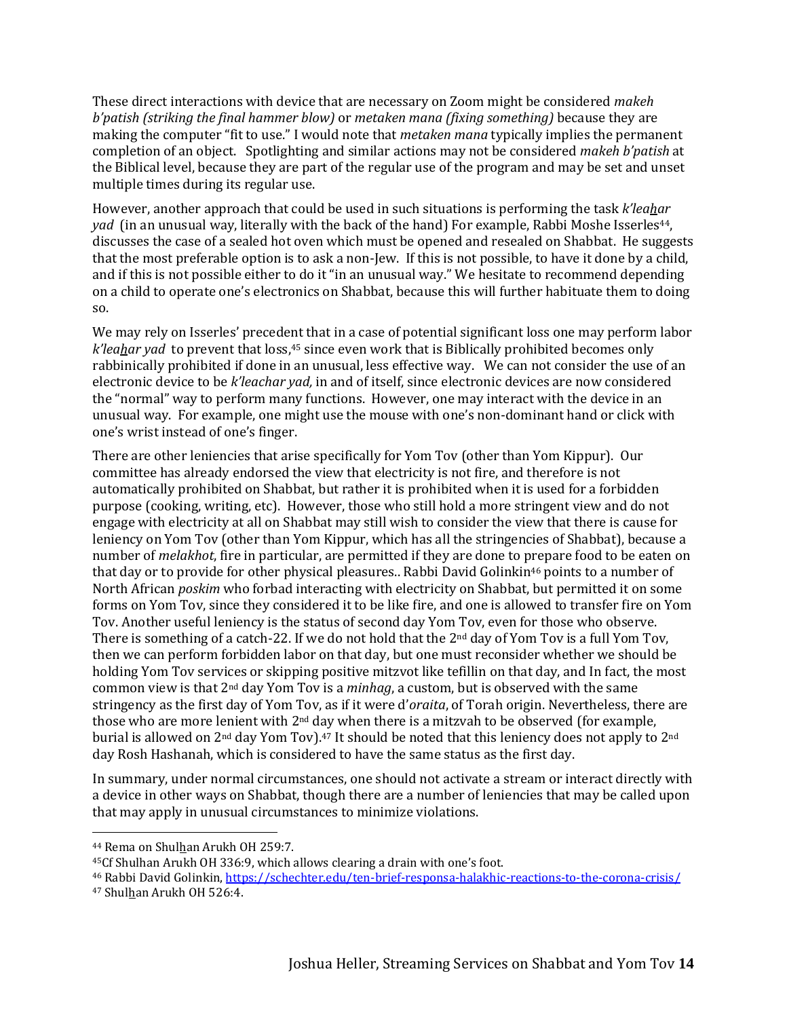These direct interactions with device that are necessary on Zoom might be considered *makeh b'patish (striking the final hammer blow)* or *metaken mana (fixing something)* because they are making the computer "fit to use." I would note that *metaken mana* typically implies the permanent completion of an object. Spotlighting and similar actions may not be considered *makeh b'patish* at the Biblical level, because they are part of the regular use of the program and may be set and unset multiple times during its regular use.

However, another approach that could be used in such situations is performing the task *k'leahar yad* (in an unusual way, literally with the back of the hand) For example, Rabbi Moshe Isserles<sup>44</sup>, discusses the case of a sealed hot oven which must be opened and resealed on Shabbat. He suggests that the most preferable option is to ask a non-Jew. If this is not possible, to have it done by a child, and if this is not possible either to do it "in an unusual way." We hesitate to recommend depending on a child to operate one's electronics on Shabbat, because this will further habituate them to doing so.

We may rely on Isserles' precedent that in a case of potential significant loss one may perform labor *k'leahar yad* to prevent that loss, <sup>45</sup> since even work that is Biblically prohibited becomes only rabbinically prohibited if done in an unusual, less effective way. We can not consider the use of an electronic device to be *k'leachar yad,* in and of itself, since electronic devices are now considered the "normal" way to perform many functions. However, one may interact with the device in an unusual way. For example, one might use the mouse with one's non-dominant hand or click with one's wrist instead of one's finger.

There are other leniencies that arise specifically for Yom Tov (other than Yom Kippur). Our committee has already endorsed the view that electricity is not fire, and therefore is not automatically prohibited on Shabbat, but rather it is prohibited when it is used for a forbidden purpose (cooking, writing, etc). However, those who still hold a more stringent view and do not engage with electricity at all on Shabbat may still wish to consider the view that there is cause for leniency on Yom Tov (other than Yom Kippur, which has all the stringencies of Shabbat), because a number of *melakhot*, fire in particular, are permitted if they are done to prepare food to be eaten on that day or to provide for other physical pleasures.. Rabbi David Golinkin<sup>46</sup> points to a number of North African *poskim* who forbad interacting with electricity on Shabbat, but permitted it on some forms on Yom Tov, since they considered it to be like fire, and one is allowed to transfer fire on Yom Tov. Another useful leniency is the status of second day Yom Tov, even for those who observe. There is something of a catch-22. If we do not hold that the  $2<sup>nd</sup>$  day of Yom Tov is a full Yom Tov, then we can perform forbidden labor on that day, but one must reconsider whether we should be holding Yom Tov services or skipping positive mitzvot like tefillin on that day, and In fact, the most common view is that 2nd day Yom Tov is a *minhag*, a custom, but is observed with the same stringency as the first day of Yom Tov, as if it were d'*oraita*, of Torah origin. Nevertheless, there are those who are more lenient with  $2<sup>nd</sup>$  day when there is a mitzvah to be observed (for example, burial is allowed on 2nd day Yom Tov).47 It should be noted that this leniency does not apply to 2nd day Rosh Hashanah, which is considered to have the same status as the first day.

In summary, under normal circumstances, one should not activate a stream or interact directly with a device in other ways on Shabbat, though there are a number of leniencies that may be called upon that may apply in unusual circumstances to minimize violations.

<sup>44</sup> Rema on Shulhan Arukh OH 259:7.

<sup>45</sup>Cf Shulhan Arukh OH 336:9, which allows clearing a drain with one's foot.

<sup>46</sup> Rabbi David Golinkin,<https://schechter.edu/ten-brief-responsa-halakhic-reactions-to-the-corona-crisis/>

<sup>47</sup> Shulhan Arukh OH 526:4.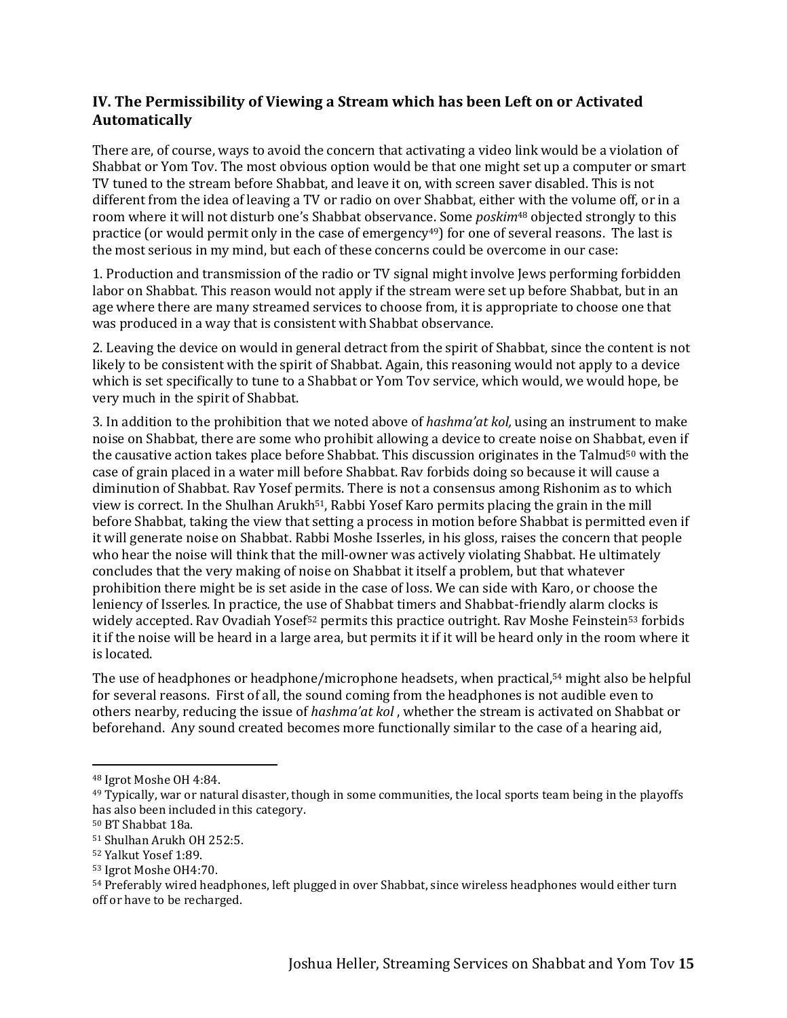# **IV. The Permissibility of Viewing a Stream which has been Left on or Activated Automatically**

There are, of course, ways to avoid the concern that activating a video link would be a violation of Shabbat or Yom Tov. The most obvious option would be that one might set up a computer or smart TV tuned to the stream before Shabbat, and leave it on, with screen saver disabled. This is not different from the idea of leaving a TV or radio on over Shabbat, either with the volume off, or in a room where it will not disturb one's Shabbat observance. Some *poskim*<sup>48</sup> objected strongly to this practice (or would permit only in the case of emergency<sup>49</sup>) for one of several reasons. The last is the most serious in my mind, but each of these concerns could be overcome in our case:

1. Production and transmission of the radio or TV signal might involve Jews performing forbidden labor on Shabbat. This reason would not apply if the stream were set up before Shabbat, but in an age where there are many streamed services to choose from, it is appropriate to choose one that was produced in a way that is consistent with Shabbat observance.

2. Leaving the device on would in general detract from the spirit of Shabbat, since the content is not likely to be consistent with the spirit of Shabbat. Again, this reasoning would not apply to a device which is set specifically to tune to a Shabbat or Yom Tov service, which would, we would hope, be very much in the spirit of Shabbat.

3. In addition to the prohibition that we noted above of *hashma'at kol,* using an instrument to make noise on Shabbat, there are some who prohibit allowing a device to create noise on Shabbat, even if the causative action takes place before Shabbat. This discussion originates in the Talmud<sup>50</sup> with the case of grain placed in a water mill before Shabbat. Rav forbids doing so because it will cause a diminution of Shabbat. Rav Yosef permits. There is not a consensus among Rishonim as to which view is correct. In the Shulhan Arukh51, Rabbi Yosef Karo permits placing the grain in the mill before Shabbat, taking the view that setting a process in motion before Shabbat is permitted even if it will generate noise on Shabbat. Rabbi Moshe Isserles, in his gloss, raises the concern that people who hear the noise will think that the mill-owner was actively violating Shabbat. He ultimately concludes that the very making of noise on Shabbat it itself a problem, but that whatever prohibition there might be is set aside in the case of loss. We can side with Karo, or choose the leniency of Isserles. In practice, the use of Shabbat timers and Shabbat-friendly alarm clocks is widely accepted. Rav Ovadiah Yosef<sup>52</sup> permits this practice outright. Rav Moshe Feinstein<sup>53</sup> forbids it if the noise will be heard in a large area, but permits it if it will be heard only in the room where it is located.

The use of headphones or headphone/microphone headsets, when practical, <sup>54</sup> might also be helpful for several reasons. First of all, the sound coming from the headphones is not audible even to others nearby, reducing the issue of *hashma'at kol* , whether the stream is activated on Shabbat or beforehand. Any sound created becomes more functionally similar to the case of a hearing aid,

<sup>48</sup> Igrot Moshe OH 4:84.

<sup>49</sup> Typically, war or natural disaster, though in some communities, the local sports team being in the playoffs has also been included in this category.

<sup>50</sup> BT Shabbat 18a.

<sup>51</sup> Shulhan Arukh OH 252:5.

<sup>52</sup> Yalkut Yosef 1:89.

<sup>53</sup> Igrot Moshe OH4:70.

<sup>54</sup> Preferably wired headphones, left plugged in over Shabbat, since wireless headphones would either turn off or have to be recharged.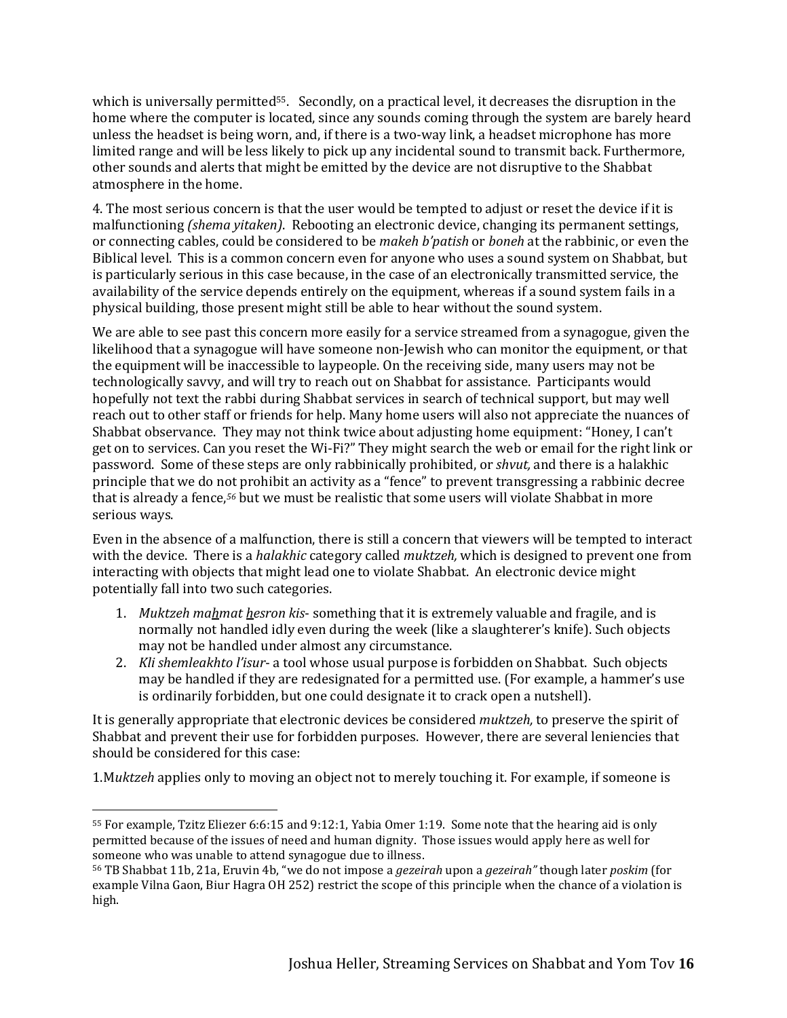which is universally permitted<sup>55</sup>. Secondly, on a practical level, it decreases the disruption in the home where the computer is located, since any sounds coming through the system are barely heard unless the headset is being worn, and, if there is a two-way link, a headset microphone has more limited range and will be less likely to pick up any incidental sound to transmit back. Furthermore, other sounds and alerts that might be emitted by the device are not disruptive to the Shabbat atmosphere in the home.

4. The most serious concern is that the user would be tempted to adjust or reset the device if it is malfunctioning *(shema yitaken)*. Rebooting an electronic device, changing its permanent settings, or connecting cables, could be considered to be *makeh b'patish* or *boneh* at the rabbinic, or even the Biblical level. This is a common concern even for anyone who uses a sound system on Shabbat, but is particularly serious in this case because, in the case of an electronically transmitted service, the availability of the service depends entirely on the equipment, whereas if a sound system fails in a physical building, those present might still be able to hear without the sound system.

We are able to see past this concern more easily for a service streamed from a synagogue, given the likelihood that a synagogue will have someone non-Jewish who can monitor the equipment, or that the equipment will be inaccessible to laypeople. On the receiving side, many users may not be technologically savvy, and will try to reach out on Shabbat for assistance. Participants would hopefully not text the rabbi during Shabbat services in search of technical support, but may well reach out to other staff or friends for help. Many home users will also not appreciate the nuances of Shabbat observance. They may not think twice about adjusting home equipment: "Honey, I can't get on to services. Can you reset the Wi-Fi?" They might search the web or email for the right link or password. Some of these steps are only rabbinically prohibited, or *shvut,* and there is a halakhic principle that we do not prohibit an activity as a "fence" to prevent transgressing a rabbinic decree that is already a fence, *<sup>56</sup>* but we must be realistic that some users will violate Shabbat in more serious ways.

Even in the absence of a malfunction, there is still a concern that viewers will be tempted to interact with the device. There is a *halakhic* category called *muktzeh,* which is designed to prevent one from interacting with objects that might lead one to violate Shabbat. An electronic device might potentially fall into two such categories.

- 1. *Muktzeh mahmat hesron kis* something that it is extremely valuable and fragile, and is normally not handled idly even during the week (like a slaughterer's knife). Such objects may not be handled under almost any circumstance.
- 2. *Kli shemleakhto l'isur* a tool whose usual purpose is forbidden on Shabbat. Such objects may be handled if they are redesignated for a permitted use. (For example, a hammer's use is ordinarily forbidden, but one could designate it to crack open a nutshell).

It is generally appropriate that electronic devices be considered *muktzeh,* to preserve the spirit of Shabbat and prevent their use for forbidden purposes. However, there are several leniencies that should be considered for this case:

1.M*uktzeh* applies only to moving an object not to merely touching it. For example, if someone is

<sup>55</sup> For example, Tzitz Eliezer 6:6:15 and 9:12:1, Yabia Omer 1:19. Some note that the hearing aid is only permitted because of the issues of need and human dignity. Those issues would apply here as well for someone who was unable to attend synagogue due to illness.

<sup>56</sup> TB Shabbat 11b, 21a, Eruvin 4b, "we do not impose a *gezeirah* upon a *gezeirah"* though later *poskim* (for example Vilna Gaon, Biur Hagra OH 252) restrict the scope of this principle when the chance of a violation is high.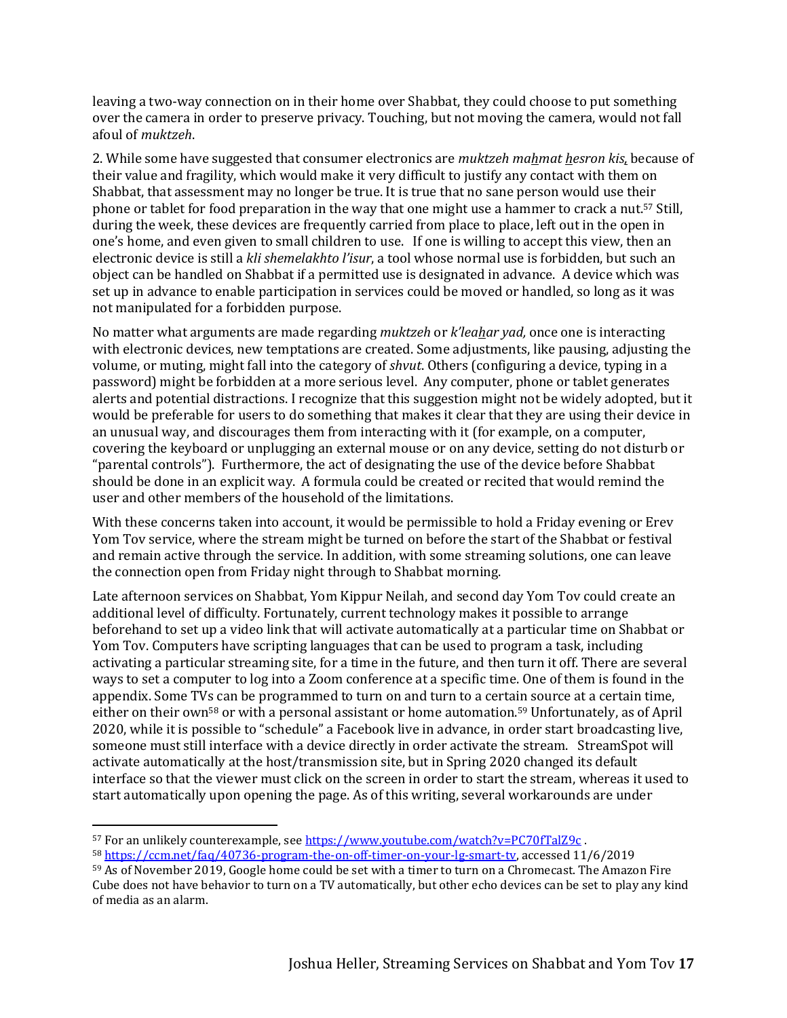leaving a two-way connection on in their home over Shabbat, they could choose to put something over the camera in order to preserve privacy. Touching, but not moving the camera, would not fall afoul of *muktzeh*.

2. While some have suggested that consumer electronics are *muktzeh mahmat hesron kis,* because of their value and fragility, which would make it very difficult to justify any contact with them on Shabbat, that assessment may no longer be true. It is true that no sane person would use their phone or tablet for food preparation in the way that one might use a hammer to crack a nut.<sup>57</sup> Still, during the week, these devices are frequently carried from place to place, left out in the open in one's home, and even given to small children to use. If one is willing to accept this view, then an electronic device is still a *kli shemelakhto l'isur*, a tool whose normal use is forbidden, but such an object can be handled on Shabbat if a permitted use is designated in advance. A device which was set up in advance to enable participation in services could be moved or handled, so long as it was not manipulated for a forbidden purpose.

No matter what arguments are made regarding *muktzeh* or *k'leahar yad,* once one is interacting with electronic devices, new temptations are created. Some adjustments, like pausing, adjusting the volume, or muting, might fall into the category of *shvut*. Others (configuring a device, typing in a password) might be forbidden at a more serious level. Any computer, phone or tablet generates alerts and potential distractions. I recognize that this suggestion might not be widely adopted, but it would be preferable for users to do something that makes it clear that they are using their device in an unusual way, and discourages them from interacting with it (for example, on a computer, covering the keyboard or unplugging an external mouse or on any device, setting do not disturb or "parental controls"). Furthermore, the act of designating the use of the device before Shabbat should be done in an explicit way. A formula could be created or recited that would remind the user and other members of the household of the limitations.

With these concerns taken into account, it would be permissible to hold a Friday evening or Erev Yom Tov service, where the stream might be turned on before the start of the Shabbat or festival and remain active through the service. In addition, with some streaming solutions, one can leave the connection open from Friday night through to Shabbat morning.

Late afternoon services on Shabbat, Yom Kippur Neilah, and second day Yom Tov could create an additional level of difficulty. Fortunately, current technology makes it possible to arrange beforehand to set up a video link that will activate automatically at a particular time on Shabbat or Yom Tov. Computers have scripting languages that can be used to program a task, including activating a particular streaming site, for a time in the future, and then turn it off. There are several ways to set a computer to log into a Zoom conference at a specific time. One of them is found in the appendix. Some TVs can be programmed to turn on and turn to a certain source at a certain time, either on their own<sup>58</sup> or with a personal assistant or home automation.<sup>59</sup> Unfortunately, as of April 2020, while it is possible to "schedule" a Facebook live in advance, in order start broadcasting live, someone must still interface with a device directly in order activate the stream. StreamSpot will activate automatically at the host/transmission site, but in Spring 2020 changed its default interface so that the viewer must click on the screen in order to start the stream, whereas it used to start automatically upon opening the page. As of this writing, several workarounds are under

<sup>57</sup> For an unlikely counterexample, see <https://www.youtube.com/watch?v=PC70fTalZ9c> . <sup>58</sup> [https://ccm.net/faq/40736-program-the-on-off-timer-on-your-lg-smart-tv,](https://ccm.net/faq/40736-program-the-on-off-timer-on-your-lg-smart-tv) accessed 11/6/2019

<sup>59</sup> As of November 2019, Google home could be set with a timer to turn on a Chromecast. The Amazon Fire Cube does not have behavior to turn on a TV automatically, but other echo devices can be set to play any kind of media as an alarm.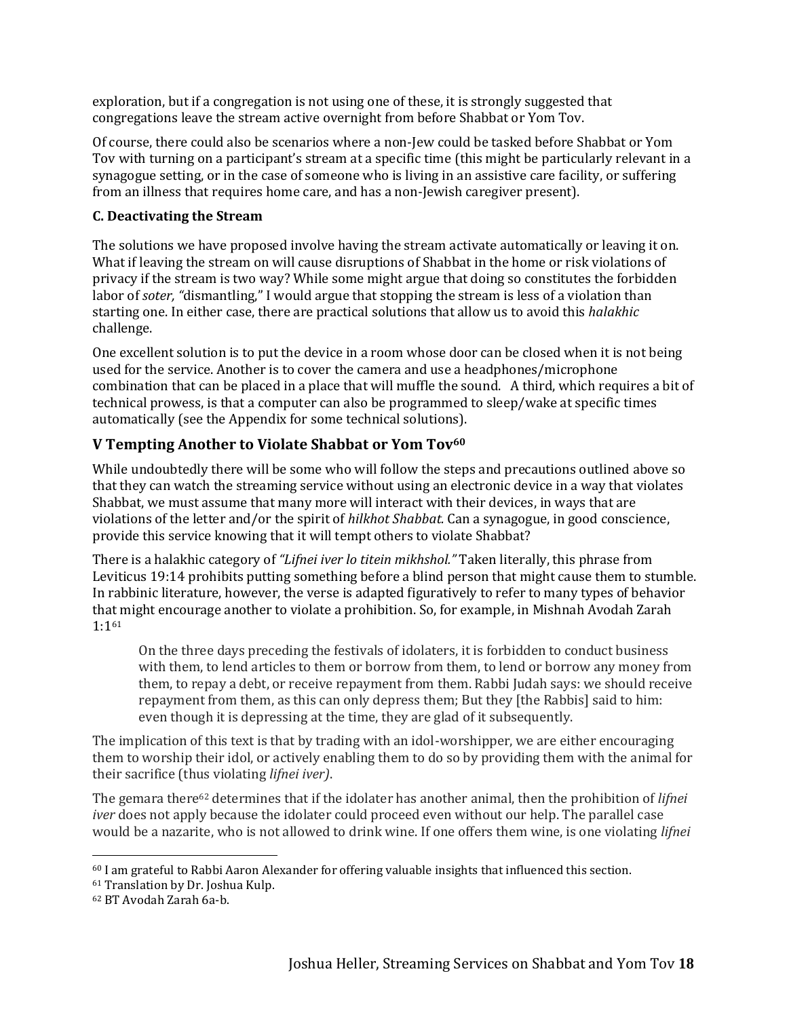exploration, but if a congregation is not using one of these, it is strongly suggested that congregations leave the stream active overnight from before Shabbat or Yom Tov.

Of course, there could also be scenarios where a non-Jew could be tasked before Shabbat or Yom Tov with turning on a participant's stream at a specific time (this might be particularly relevant in a synagogue setting, or in the case of someone who is living in an assistive care facility, or suffering from an illness that requires home care, and has a non-Jewish caregiver present).

#### **C. Deactivating the Stream**

The solutions we have proposed involve having the stream activate automatically or leaving it on. What if leaving the stream on will cause disruptions of Shabbat in the home or risk violations of privacy if the stream is two way? While some might argue that doing so constitutes the forbidden labor of *soter, "*dismantling," I would argue that stopping the stream is less of a violation than starting one. In either case, there are practical solutions that allow us to avoid this *halakhic*  challenge.

One excellent solution is to put the device in a room whose door can be closed when it is not being used for the service. Another is to cover the camera and use a headphones/microphone combination that can be placed in a place that will muffle the sound. A third, which requires a bit of technical prowess, is that a computer can also be programmed to sleep/wake at specific times automatically (see the Appendix for some technical solutions).

# **V Tempting Another to Violate Shabbat or Yom Tov<sup>60</sup>**

While undoubtedly there will be some who will follow the steps and precautions outlined above so that they can watch the streaming service without using an electronic device in a way that violates Shabbat, we must assume that many more will interact with their devices, in ways that are violations of the letter and/or the spirit of *hilkhot Shabbat.* Can a synagogue, in good conscience, provide this service knowing that it will tempt others to violate Shabbat?

There is a halakhic category of *"Lifnei iver lo titein mikhshol."* Taken literally, this phrase from Leviticus 19:14 prohibits putting something before a blind person that might cause them to stumble. In rabbinic literature, however, the verse is adapted figuratively to refer to many types of behavior that might encourage another to violate a prohibition. So, for example, in Mishnah Avodah Zarah 1:1<sup>61</sup>

On the three days preceding the festivals of idolaters, it is forbidden to conduct business with them, to lend articles to them or borrow from them, to lend or borrow any money from them, to repay a debt, or receive repayment from them. Rabbi Judah says: we should receive repayment from them, as this can only depress them; But they [the Rabbis] said to him: even though it is depressing at the time, they are glad of it subsequently.

The implication of this text is that by trading with an idol-worshipper, we are either encouraging them to worship their idol, or actively enabling them to do so by providing them with the animal for their sacrifice (thus violating *lifnei iver)*.

The gemara there<sup>62</sup> determines that if the idolater has another animal, then the prohibition of *lifnei iver* does not apply because the idolater could proceed even without our help. The parallel case would be a nazarite, who is not allowed to drink wine. If one offers them wine, is one violating *lifnei* 

<sup>60</sup> I am grateful to Rabbi Aaron Alexander for offering valuable insights that influenced this section.

<sup>61</sup> Translation by Dr. Joshua Kulp.

<sup>62</sup> BT Avodah Zarah 6a-b.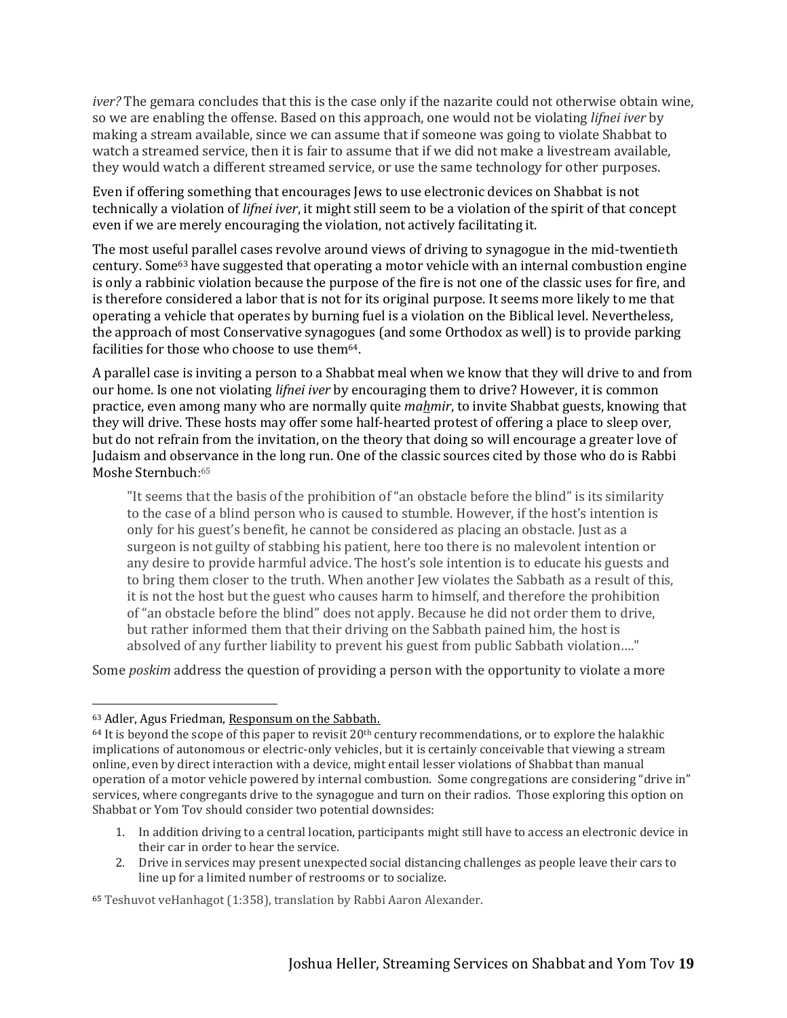*iver?* The gemara concludes that this is the case only if the nazarite could not otherwise obtain wine, so we are enabling the offense. Based on this approach, one would not be violating *lifnei iver* by making a stream available, since we can assume that if someone was going to violate Shabbat to watch a streamed service, then it is fair to assume that if we did not make a livestream available, they would watch a different streamed service, or use the same technology for other purposes.

Even if offering something that encourages Jews to use electronic devices on Shabbat is not technically a violation of *lifnei iver*, it might still seem to be a violation of the spirit of that concept even if we are merely encouraging the violation, not actively facilitating it.

The most useful parallel cases revolve around views of driving to synagogue in the mid-twentieth century. Some<sup>63</sup> have suggested that operating a motor vehicle with an internal combustion engine is only a rabbinic violation because the purpose of the fire is not one of the classic uses for fire, and is therefore considered a labor that is not for its original purpose. It seems more likely to me that operating a vehicle that operates by burning fuel is a violation on the Biblical level. Nevertheless, the approach of most Conservative synagogues (and some Orthodox as well) is to provide parking facilities for those who choose to use them<sup>64</sup>.

A parallel case is inviting a person to a Shabbat meal when we know that they will drive to and from our home. Is one not violating *lifnei iver* by encouraging them to drive? However, it is common practice, even among many who are normally quite *mahmir*, to invite Shabbat guests, knowing that they will drive. These hosts may offer some half-hearted protest of offering a place to sleep over, but do not refrain from the invitation, on the theory that doing so will encourage a greater love of Judaism and observance in the long run. One of the classic sources cited by those who do is Rabbi Moshe Sternbuch: 65

"It seems that the basis of the prohibition of "an obstacle before the blind" is its similarity to the case of a blind person who is caused to stumble. However, if the host's intention is only for his guest's benefit, he cannot be considered as placing an obstacle. Just as a surgeon is not guilty of stabbing his patient, here too there is no malevolent intention or any desire to provide harmful advice. The host's sole intention is to educate his guests and to bring them closer to the truth. When another Jew violates the Sabbath as a result of this, it is not the host but the guest who causes harm to himself, and therefore the prohibition of "an obstacle before the blind" does not apply. Because he did not order them to drive, but rather informed them that their driving on the Sabbath pained him, the host is absolved of any further liability to prevent his guest from public Sabbath violation…."

Some *poskim* address the question of providing a person with the opportunity to violate a more

- 1. In addition driving to a central location, participants might still have to access an electronic device in their car in order to hear the service.
- 2. Drive in services may present unexpected social distancing challenges as people leave their cars to line up for a limited number of restrooms or to socialize.

<sup>63</sup> Adler, Agus Friedman, Responsum on the Sabbath.

 $64$  It is beyond the scope of this paper to revisit  $20<sup>th</sup>$  century recommendations, or to explore the halakhic implications of autonomous or electric-only vehicles, but it is certainly conceivable that viewing a stream online, even by direct interaction with a device, might entail lesser violations of Shabbat than manual operation of a motor vehicle powered by internal combustion. Some congregations are considering "drive in" services, where congregants drive to the synagogue and turn on their radios. Those exploring this option on Shabbat or Yom Tov should consider two potential downsides:

<sup>65</sup> Teshuvot veHanhagot (1:358), translation by Rabbi Aaron Alexander.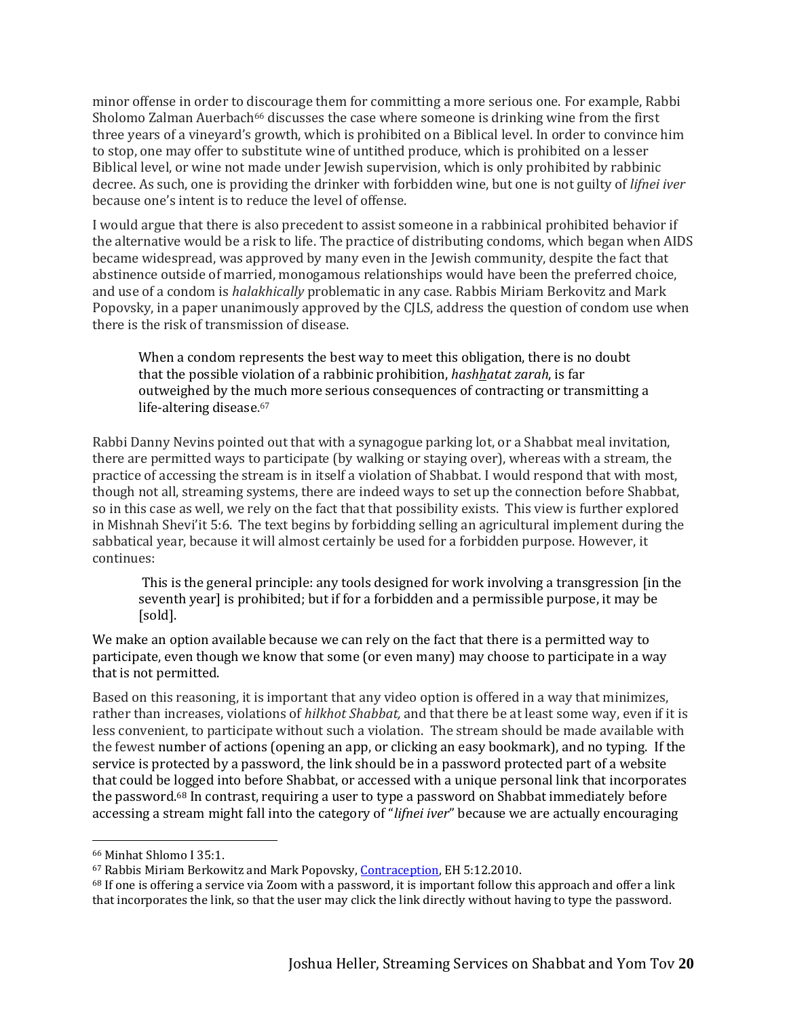minor offense in order to discourage them for committing a more serious one. For example, Rabbi Sholomo Zalman Auerbach<sup>66</sup> discusses the case where someone is drinking wine from the first three years of a vineyard's growth, which is prohibited on a Biblical level. In order to convince him to stop, one may offer to substitute wine of untithed produce, which is prohibited on a lesser Biblical level, or wine not made under Jewish supervision, which is only prohibited by rabbinic decree. As such, one is providing the drinker with forbidden wine, but one is not guilty of *lifnei iver* because one's intent is to reduce the level of offense.

I would argue that there is also precedent to assist someone in a rabbinical prohibited behavior if the alternative would be a risk to life. The practice of distributing condoms, which began when AIDS became widespread, was approved by many even in the Jewish community, despite the fact that abstinence outside of married, monogamous relationships would have been the preferred choice, and use of a condom is *halakhically* problematic in any case. Rabbis Miriam Berkovitz and Mark Popovsky, in a paper unanimously approved by the CJLS, address the question of condom use when there is the risk of transmission of disease.

When a condom represents the best way to meet this obligation, there is no doubt that the possible violation of a rabbinic prohibition, *hashhatat zarah*, is far outweighed by the much more serious consequences of contracting or transmitting a life-altering disease.<sup>67</sup>

Rabbi Danny Nevins pointed out that with a synagogue parking lot, or a Shabbat meal invitation, there are permitted ways to participate (by walking or staying over), whereas with a stream, the practice of accessing the stream is in itself a violation of Shabbat. I would respond that with most, though not all, streaming systems, there are indeed ways to set up the connection before Shabbat, so in this case as well, we rely on the fact that that possibility exists. This view is further explored in Mishnah Shevi'it 5:6. The text begins by forbidding selling an agricultural implement during the sabbatical year, because it will almost certainly be used for a forbidden purpose. However, it continues:

This is the general principle: any tools designed for work involving a transgression [in the seventh year] is prohibited; but if for a forbidden and a permissible purpose, it may be [sold].

We make an option available because we can rely on the fact that there is a permitted way to participate, even though we know that some (or even many) may choose to participate in a way that is not permitted.

Based on this reasoning, it is important that any video option is offered in a way that minimizes, rather than increases, violations of *hilkhot Shabbat,* and that there be at least some way, even if it is less convenient, to participate without such a violation. The stream should be made available with the fewest number of actions (opening an app, or clicking an easy bookmark), and no typing. If the service is protected by a password, the link should be in a password protected part of a website that could be logged into before Shabbat, or accessed with a unique personal link that incorporates the password.<sup>68</sup> In contrast, requiring a user to type a password on Shabbat immediately before accessing a stream might fall into the category of "*lifnei iver*" because we are actually encouraging

<sup>66</sup> Minhat Shlomo I 35:1.

<sup>&</sup>lt;sup>67</sup> Rabbis Miriam Berkowitz and Mark Popovsky, [Contraception,](https://www.rabbinicalassembly.org/sites/default/files/assets/public/halakhah/teshuvot/20052010/Contraception%20Berkowitz%20and%20Popovsky.pdf) EH 5:12.2010.

<sup>68</sup> If one is offering a service via Zoom with a password, it is important follow this approach and offer a link that incorporates the link, so that the user may click the link directly without having to type the password.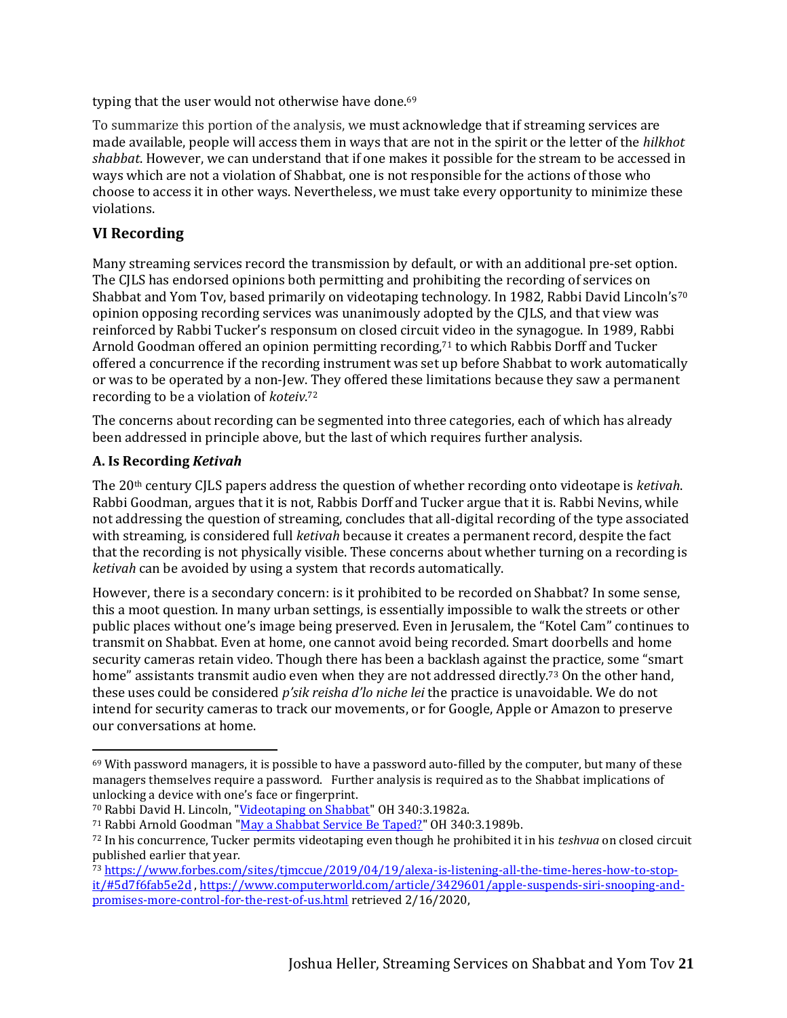typing that the user would not otherwise have done.<sup>69</sup>

To summarize this portion of the analysis, we must acknowledge that if streaming services are made available, people will access them in ways that are not in the spirit or the letter of the *hilkhot shabbat*. However, we can understand that if one makes it possible for the stream to be accessed in ways which are not a violation of Shabbat, one is not responsible for the actions of those who choose to access it in other ways. Nevertheless, we must take every opportunity to minimize these violations.

#### **VI Recording**

Many streaming services record the transmission by default, or with an additional pre-set option. The CJLS has endorsed opinions both permitting and prohibiting the recording of services on Shabbat and Yom Tov, based primarily on videotaping technology. In 1982, Rabbi David Lincoln's<sup>70</sup> opinion opposing recording services was unanimously adopted by the CJLS, and that view was reinforced by Rabbi Tucker's responsum on closed circuit video in the synagogue. In 1989, Rabbi Arnold Goodman offered an opinion permitting recording,<sup>71</sup> to which Rabbis Dorff and Tucker offered a concurrence if the recording instrument was set up before Shabbat to work automatically or was to be operated by a non-Jew. They offered these limitations because they saw a permanent recording to be a violation of *koteiv*. 72

The concerns about recording can be segmented into three categories, each of which has already been addressed in principle above, but the last of which requires further analysis.

#### **A. Is Recording** *Ketivah*

The 20th century CJLS papers address the question of whether recording onto videotape is *ketivah*. Rabbi Goodman, argues that it is not, Rabbis Dorff and Tucker argue that it is. Rabbi Nevins, while not addressing the question of streaming, concludes that all-digital recording of the type associated with streaming, is considered full *ketivah* because it creates a permanent record, despite the fact that the recording is not physically visible. These concerns about whether turning on a recording is *ketivah* can be avoided by using a system that records automatically.

However, there is a secondary concern: is it prohibited to be recorded on Shabbat? In some sense, this a moot question. In many urban settings, is essentially impossible to walk the streets or other public places without one's image being preserved. Even in Jerusalem, the "Kotel Cam" continues to transmit on Shabbat. Even at home, one cannot avoid being recorded. Smart doorbells and home security cameras retain video. Though there has been a backlash against the practice, some "smart home" assistants transmit audio even when they are not addressed directly.<sup>73</sup> On the other hand, these uses could be considered *p'sik reisha d'lo niche lei* the practice is unavoidable. We do not intend for security cameras to track our movements, or for Google, Apple or Amazon to preserve our conversations at home.

 $69$  With password managers, it is possible to have a password auto-filled by the computer, but many of these managers themselves require a password. Further analysis is required as to the Shabbat implications of unlocking a device with one's face or fingerprint.

<sup>70</sup> Rabbi David H. Lincoln, ["Videotaping on Shabbat"](https://www.rabbinicalassembly.org/sites/default/files/assets/public/halakhah/teshuvot/20012004/43.pdf) OH 340:3.1982a.

<sup>71</sup> Rabbi Arnold Goodman ["May a Shabbat Service Be Taped?"](https://www.rabbinicalassembly.org/sites/default/files/assets/public/halakhah/teshuvot/19861990/goodman_taped.pdf) OH 340:3.1989b.

<sup>72</sup> In his concurrence, Tucker permits videotaping even though he prohibited it in his *teshvua* on closed circuit published earlier that year*.*

<sup>73</sup> [https://www.forbes.com/sites/tjmccue/2019/04/19/alexa-is-listening-all-the-time-heres-how-to-stop](https://www.forbes.com/sites/tjmccue/2019/04/19/alexa-is-listening-all-the-time-heres-how-to-stop-it/#5d7f6fab5e2d)[it/#5d7f6fab5e2d](https://www.forbes.com/sites/tjmccue/2019/04/19/alexa-is-listening-all-the-time-heres-how-to-stop-it/#5d7f6fab5e2d) , [https://www.computerworld.com/article/3429601/apple-suspends-siri-snooping-and](https://www.computerworld.com/article/3429601/apple-suspends-siri-snooping-and-promises-more-control-for-the-rest-of-us.html)[promises-more-control-for-the-rest-of-us.html](https://www.computerworld.com/article/3429601/apple-suspends-siri-snooping-and-promises-more-control-for-the-rest-of-us.html) retrieved 2/16/2020,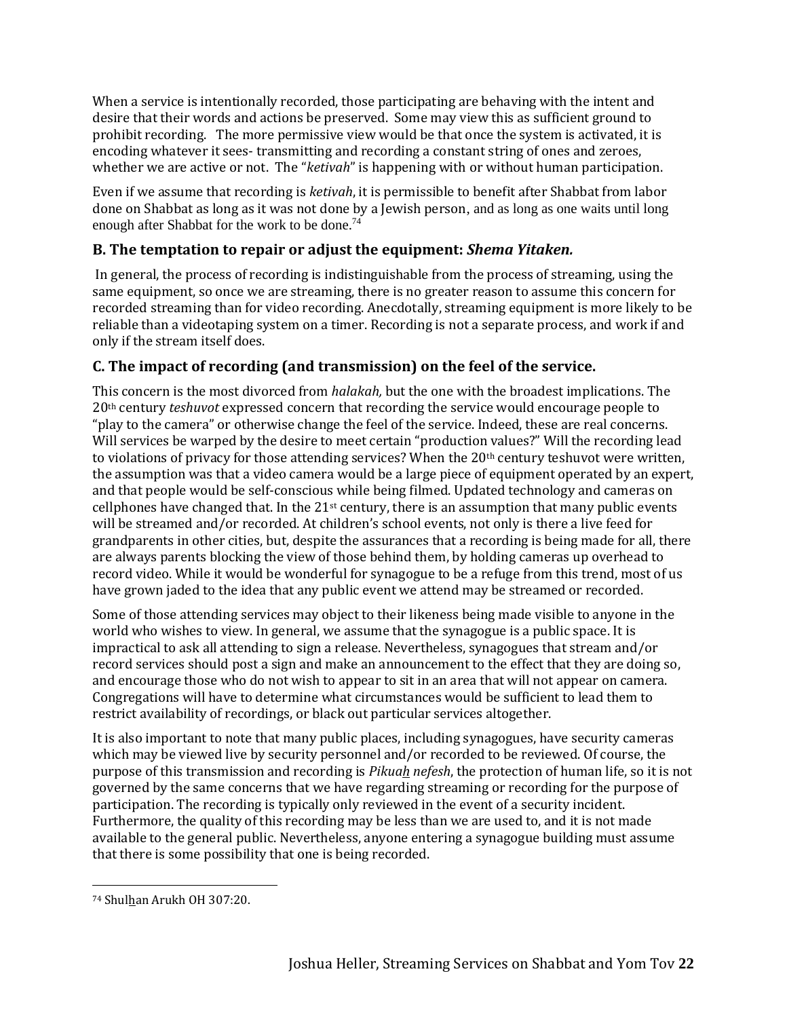When a service is intentionally recorded, those participating are behaving with the intent and desire that their words and actions be preserved. Some may view this as sufficient ground to prohibit recording. The more permissive view would be that once the system is activated, it is encoding whatever it sees- transmitting and recording a constant string of ones and zeroes, whether we are active or not. The "*ketivah*" is happening with or without human participation.

Even if we assume that recording is *ketivah*, it is permissible to benefit after Shabbat from labor done on Shabbat as long as it was not done by a Jewish person, and as long as one waits until long enough after Shabbat for the work to be done.<sup>74</sup>

# **B. The temptation to repair or adjust the equipment:** *Shema Yitaken.*

In general, the process of recording is indistinguishable from the process of streaming, using the same equipment, so once we are streaming, there is no greater reason to assume this concern for recorded streaming than for video recording. Anecdotally, streaming equipment is more likely to be reliable than a videotaping system on a timer. Recording is not a separate process, and work if and only if the stream itself does.

# **C. The impact of recording (and transmission) on the feel of the service.**

This concern is the most divorced from *halakah,* but the one with the broadest implications. The 20th century *teshuvot* expressed concern that recording the service would encourage people to "play to the camera" or otherwise change the feel of the service. Indeed, these are real concerns. Will services be warped by the desire to meet certain "production values?" Will the recording lead to violations of privacy for those attending services? When the  $20<sup>th</sup>$  century teshuvot were written, the assumption was that a video camera would be a large piece of equipment operated by an expert, and that people would be self-conscious while being filmed. Updated technology and cameras on cellphones have changed that. In the  $21<sup>st</sup>$  century, there is an assumption that many public events will be streamed and/or recorded. At children's school events, not only is there a live feed for grandparents in other cities, but, despite the assurances that a recording is being made for all, there are always parents blocking the view of those behind them, by holding cameras up overhead to record video. While it would be wonderful for synagogue to be a refuge from this trend, most of us have grown jaded to the idea that any public event we attend may be streamed or recorded.

Some of those attending services may object to their likeness being made visible to anyone in the world who wishes to view. In general, we assume that the synagogue is a public space. It is impractical to ask all attending to sign a release. Nevertheless, synagogues that stream and/or record services should post a sign and make an announcement to the effect that they are doing so, and encourage those who do not wish to appear to sit in an area that will not appear on camera. Congregations will have to determine what circumstances would be sufficient to lead them to restrict availability of recordings, or black out particular services altogether.

It is also important to note that many public places, including synagogues, have security cameras which may be viewed live by security personnel and/or recorded to be reviewed. Of course, the purpose of this transmission and recording is *Pikuah nefesh*, the protection of human life, so it is not governed by the same concerns that we have regarding streaming or recording for the purpose of participation. The recording is typically only reviewed in the event of a security incident. Furthermore, the quality of this recording may be less than we are used to, and it is not made available to the general public. Nevertheless, anyone entering a synagogue building must assume that there is some possibility that one is being recorded.

<sup>74</sup> Shulhan Arukh OH 307:20.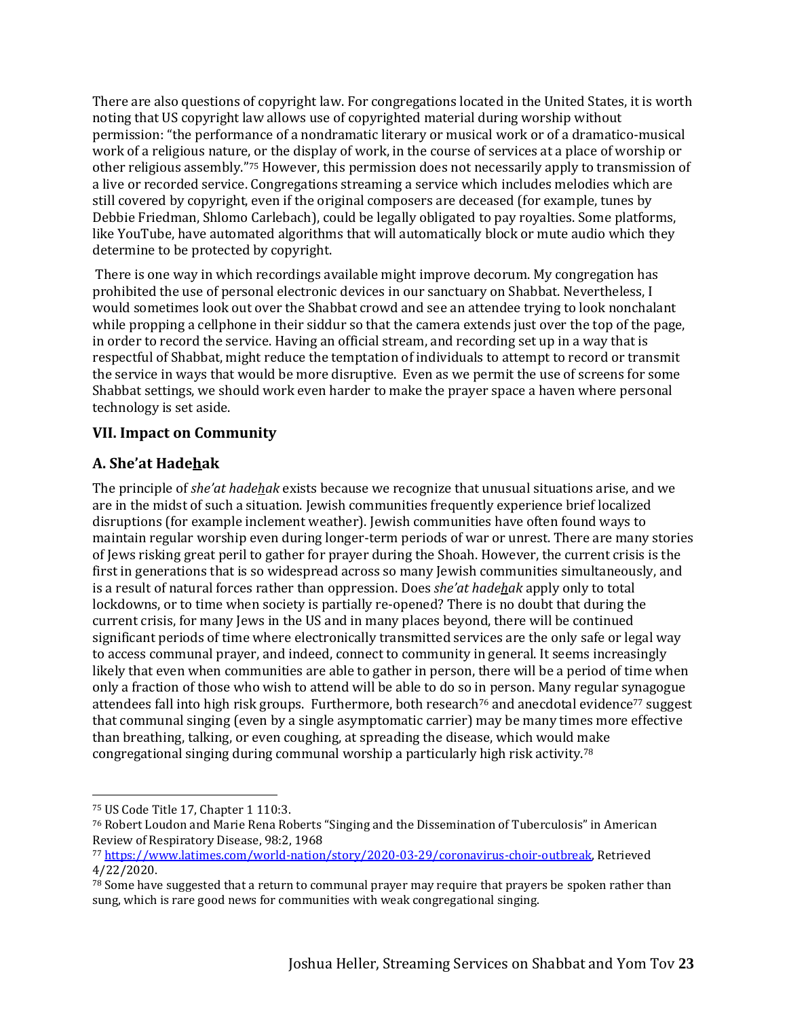There are also questions of copyright law. For congregations located in the United States, it is worth noting that US copyright law allows use of copyrighted material during worship without permission: "the performance of a nondramatic literary or musical work or of a dramatico-musical work of a religious nature, or the display of work, in the course of services at a place of worship or other religious assembly."<sup>75</sup> However, this permission does not necessarily apply to transmission of a live or recorded service. Congregations streaming a service which includes melodies which are still covered by copyright, even if the original composers are deceased (for example, tunes by Debbie Friedman, Shlomo Carlebach), could be legally obligated to pay royalties. Some platforms, like YouTube, have automated algorithms that will automatically block or mute audio which they determine to be protected by copyright.

There is one way in which recordings available might improve decorum. My congregation has prohibited the use of personal electronic devices in our sanctuary on Shabbat. Nevertheless, I would sometimes look out over the Shabbat crowd and see an attendee trying to look nonchalant while propping a cellphone in their siddur so that the camera extends just over the top of the page, in order to record the service. Having an official stream, and recording set up in a way that is respectful of Shabbat, might reduce the temptation of individuals to attempt to record or transmit the service in ways that would be more disruptive. Even as we permit the use of screens for some Shabbat settings, we should work even harder to make the prayer space a haven where personal technology is set aside.

### **VII. Impact on Community**

# **A. She'at Hadehak**

The principle of *she'at hadehak* exists because we recognize that unusual situations arise, and we are in the midst of such a situation. Jewish communities frequently experience brief localized disruptions (for example inclement weather). Jewish communities have often found ways to maintain regular worship even during longer-term periods of war or unrest. There are many stories of Jews risking great peril to gather for prayer during the Shoah. However, the current crisis is the first in generations that is so widespread across so many Jewish communities simultaneously, and is a result of natural forces rather than oppression. Does *she'at hadehak* apply only to total lockdowns, or to time when society is partially re-opened? There is no doubt that during the current crisis, for many Jews in the US and in many places beyond, there will be continued significant periods of time where electronically transmitted services are the only safe or legal way to access communal prayer, and indeed, connect to community in general. It seems increasingly likely that even when communities are able to gather in person, there will be a period of time when only a fraction of those who wish to attend will be able to do so in person. Many regular synagogue attendees fall into high risk groups. Furthermore, both research<sup>76</sup> and anecdotal evidence<sup>77</sup> suggest that communal singing (even by a single asymptomatic carrier) may be many times more effective than breathing, talking, or even coughing, at spreading the disease, which would make congregational singing during communal worship a particularly high risk activity. 78

<sup>75</sup> US Code Title 17, Chapter 1 110:3.

<sup>76</sup> Robert Loudon and Marie Rena Roberts "Singing and the Dissemination of Tuberculosis" in American Review of Respiratory Disease, 98:2, 1968

<sup>77</sup> [https://www.latimes.com/world-nation/story/2020-03-29/coronavirus-choir-outbreak,](https://www.latimes.com/world-nation/story/2020-03-29/coronavirus-choir-outbreak) Retrieved 4/22/2020.

<sup>78</sup> Some have suggested that a return to communal prayer may require that prayers be spoken rather than sung, which is rare good news for communities with weak congregational singing.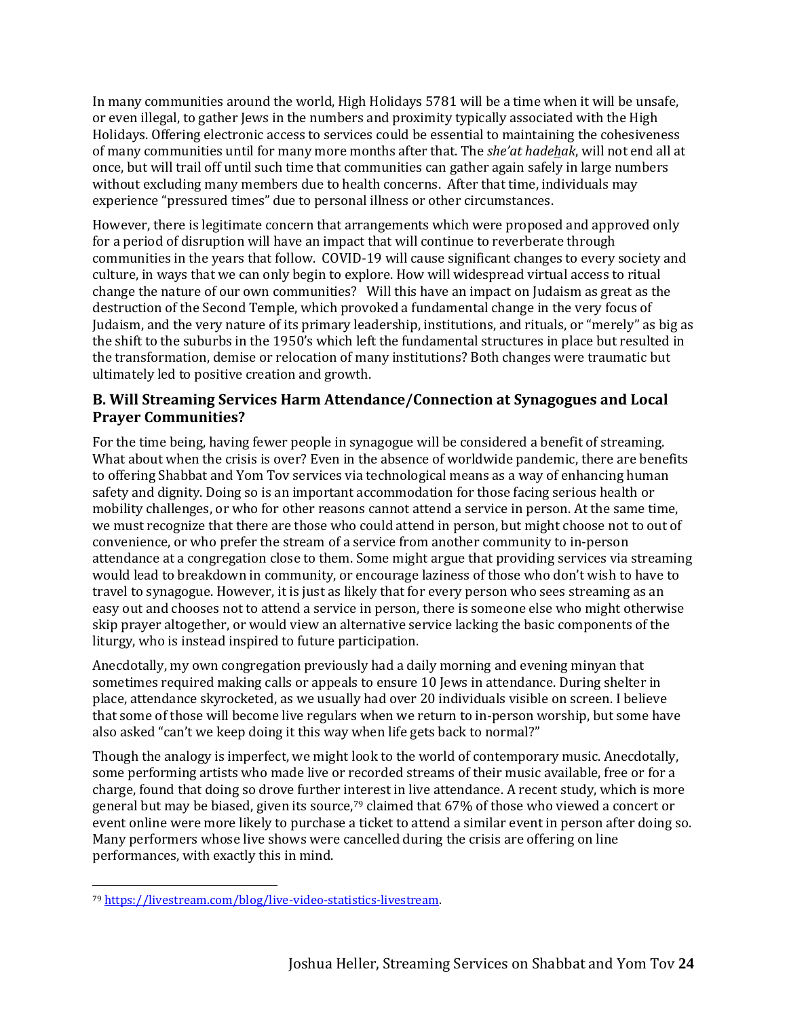In many communities around the world, High Holidays 5781 will be a time when it will be unsafe, or even illegal, to gather Jews in the numbers and proximity typically associated with the High Holidays. Offering electronic access to services could be essential to maintaining the cohesiveness of many communities until for many more months after that. The *she'at hadehak*, will not end all at once, but will trail off until such time that communities can gather again safely in large numbers without excluding many members due to health concerns. After that time, individuals may experience "pressured times" due to personal illness or other circumstances.

However, there is legitimate concern that arrangements which were proposed and approved only for a period of disruption will have an impact that will continue to reverberate through communities in the years that follow. COVID-19 will cause significant changes to every society and culture, in ways that we can only begin to explore. How will widespread virtual access to ritual change the nature of our own communities? Will this have an impact on Judaism as great as the destruction of the Second Temple, which provoked a fundamental change in the very focus of Judaism, and the very nature of its primary leadership, institutions, and rituals, or "merely" as big as the shift to the suburbs in the 1950's which left the fundamental structures in place but resulted in the transformation, demise or relocation of many institutions? Both changes were traumatic but ultimately led to positive creation and growth.

### **B. Will Streaming Services Harm Attendance/Connection at Synagogues and Local Prayer Communities?**

For the time being, having fewer people in synagogue will be considered a benefit of streaming. What about when the crisis is over? Even in the absence of worldwide pandemic, there are benefits to offering Shabbat and Yom Tov services via technological means as a way of enhancing human safety and dignity. Doing so is an important accommodation for those facing serious health or mobility challenges, or who for other reasons cannot attend a service in person. At the same time, we must recognize that there are those who could attend in person, but might choose not to out of convenience, or who prefer the stream of a service from another community to in-person attendance at a congregation close to them. Some might argue that providing services via streaming would lead to breakdown in community, or encourage laziness of those who don't wish to have to travel to synagogue. However, it is just as likely that for every person who sees streaming as an easy out and chooses not to attend a service in person, there is someone else who might otherwise skip prayer altogether, or would view an alternative service lacking the basic components of the liturgy, who is instead inspired to future participation.

Anecdotally, my own congregation previously had a daily morning and evening minyan that sometimes required making calls or appeals to ensure 10 Jews in attendance. During shelter in place, attendance skyrocketed, as we usually had over 20 individuals visible on screen. I believe that some of those will become live regulars when we return to in-person worship, but some have also asked "can't we keep doing it this way when life gets back to normal?"

Though the analogy is imperfect, we might look to the world of contemporary music. Anecdotally, some performing artists who made live or recorded streams of their music available, free or for a charge, found that doing so drove further interest in live attendance. A recent study, which is more general but may be biased, given its source,<sup>79</sup> claimed that 67% of those who viewed a concert or event online were more likely to purchase a ticket to attend a similar event in person after doing so. Many performers whose live shows were cancelled during the crisis are offering on line performances, with exactly this in mind.

<sup>79</sup> [https://livestream.com/blog/live-video-statistics-livestream.](https://livestream.com/blog/live-video-statistics-livestream)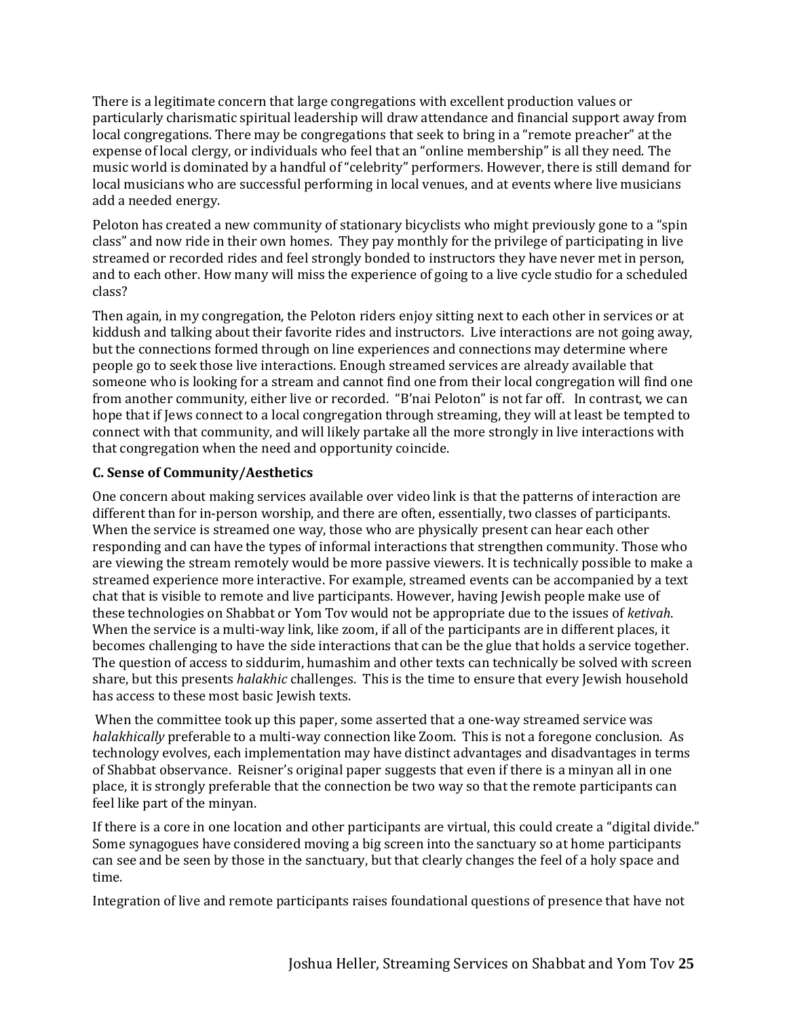There is a legitimate concern that large congregations with excellent production values or particularly charismatic spiritual leadership will draw attendance and financial support away from local congregations. There may be congregations that seek to bring in a "remote preacher" at the expense of local clergy, or individuals who feel that an "online membership" is all they need. The music world is dominated by a handful of "celebrity" performers. However, there is still demand for local musicians who are successful performing in local venues, and at events where live musicians add a needed energy.

Peloton has created a new community of stationary bicyclists who might previously gone to a "spin class" and now ride in their own homes. They pay monthly for the privilege of participating in live streamed or recorded rides and feel strongly bonded to instructors they have never met in person, and to each other. How many will miss the experience of going to a live cycle studio for a scheduled class?

Then again, in my congregation, the Peloton riders enjoy sitting next to each other in services or at kiddush and talking about their favorite rides and instructors. Live interactions are not going away, but the connections formed through on line experiences and connections may determine where people go to seek those live interactions. Enough streamed services are already available that someone who is looking for a stream and cannot find one from their local congregation will find one from another community, either live or recorded. "B'nai Peloton" is not far off. In contrast, we can hope that if Jews connect to a local congregation through streaming, they will at least be tempted to connect with that community, and will likely partake all the more strongly in live interactions with that congregation when the need and opportunity coincide.

#### **C. Sense of Community/Aesthetics**

One concern about making services available over video link is that the patterns of interaction are different than for in-person worship, and there are often, essentially, two classes of participants. When the service is streamed one way, those who are physically present can hear each other responding and can have the types of informal interactions that strengthen community. Those who are viewing the stream remotely would be more passive viewers. It is technically possible to make a streamed experience more interactive. For example, streamed events can be accompanied by a text chat that is visible to remote and live participants. However, having Jewish people make use of these technologies on Shabbat or Yom Tov would not be appropriate due to the issues of *ketivah*. When the service is a multi-way link, like zoom, if all of the participants are in different places, it becomes challenging to have the side interactions that can be the glue that holds a service together. The question of access to siddurim, humashim and other texts can technically be solved with screen share, but this presents *halakhic* challenges. This is the time to ensure that every Jewish household has access to these most basic Jewish texts.

When the committee took up this paper, some asserted that a one-way streamed service was *halakhically* preferable to a multi-way connection like Zoom. This is not a foregone conclusion. As technology evolves, each implementation may have distinct advantages and disadvantages in terms of Shabbat observance. Reisner's original paper suggests that even if there is a minyan all in one place, it is strongly preferable that the connection be two way so that the remote participants can feel like part of the minyan.

If there is a core in one location and other participants are virtual, this could create a "digital divide." Some synagogues have considered moving a big screen into the sanctuary so at home participants can see and be seen by those in the sanctuary, but that clearly changes the feel of a holy space and time.

Integration of live and remote participants raises foundational questions of presence that have not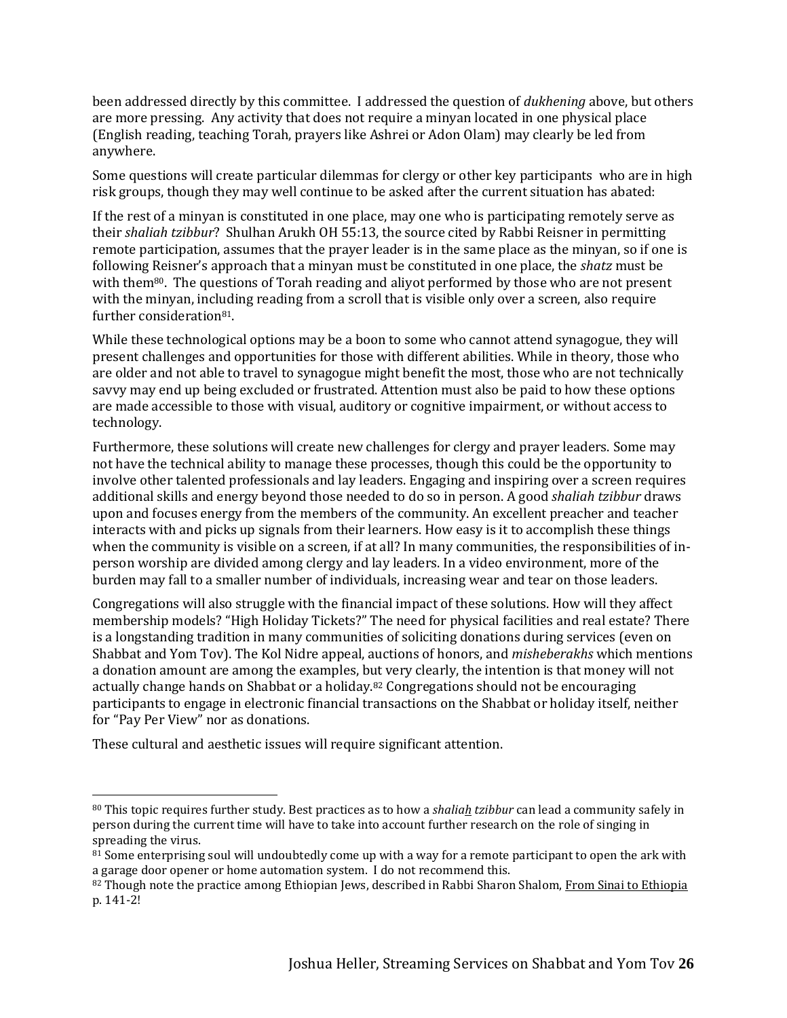been addressed directly by this committee. I addressed the question of *dukhening* above, but others are more pressing. Any activity that does not require a minyan located in one physical place (English reading, teaching Torah, prayers like Ashrei or Adon Olam) may clearly be led from anywhere.

Some questions will create particular dilemmas for clergy or other key participants who are in high risk groups, though they may well continue to be asked after the current situation has abated:

If the rest of a minyan is constituted in one place, may one who is participating remotely serve as their *shaliah tzibbur*? Shulhan Arukh OH 55:13, the source cited by Rabbi Reisner in permitting remote participation, assumes that the prayer leader is in the same place as the minyan, so if one is following Reisner's approach that a minyan must be constituted in one place, the *shatz* must be with them<sup>80</sup>. The questions of Torah reading and aliyot performed by those who are not present with the minyan, including reading from a scroll that is visible only over a screen, also require further consideration<sup>81</sup>.

While these technological options may be a boon to some who cannot attend synagogue, they will present challenges and opportunities for those with different abilities. While in theory, those who are older and not able to travel to synagogue might benefit the most, those who are not technically savvy may end up being excluded or frustrated. Attention must also be paid to how these options are made accessible to those with visual, auditory or cognitive impairment, or without access to technology.

Furthermore, these solutions will create new challenges for clergy and prayer leaders. Some may not have the technical ability to manage these processes, though this could be the opportunity to involve other talented professionals and lay leaders. Engaging and inspiring over a screen requires additional skills and energy beyond those needed to do so in person. A good *shaliah tzibbur* draws upon and focuses energy from the members of the community. An excellent preacher and teacher interacts with and picks up signals from their learners. How easy is it to accomplish these things when the community is visible on a screen, if at all? In many communities, the responsibilities of inperson worship are divided among clergy and lay leaders. In a video environment, more of the burden may fall to a smaller number of individuals, increasing wear and tear on those leaders.

Congregations will also struggle with the financial impact of these solutions. How will they affect membership models? "High Holiday Tickets?" The need for physical facilities and real estate? There is a longstanding tradition in many communities of soliciting donations during services (even on Shabbat and Yom Tov). The Kol Nidre appeal, auctions of honors, and *misheberakhs* which mentions a donation amount are among the examples, but very clearly, the intention is that money will not actually change hands on Shabbat or a holiday.<sup>82</sup> Congregations should not be encouraging participants to engage in electronic financial transactions on the Shabbat or holiday itself, neither for "Pay Per View" nor as donations.

These cultural and aesthetic issues will require significant attention.

<sup>80</sup> This topic requires further study. Best practices as to how a *shaliah tzibbur* can lead a community safely in person during the current time will have to take into account further research on the role of singing in spreading the virus.

<sup>&</sup>lt;sup>81</sup> Some enterprising soul will undoubtedly come up with a way for a remote participant to open the ark with a garage door opener or home automation system. I do not recommend this.

<sup>82</sup> Though note the practice among Ethiopian Jews, described in Rabbi Sharon Shalom, From Sinai to Ethiopia p. 141-2!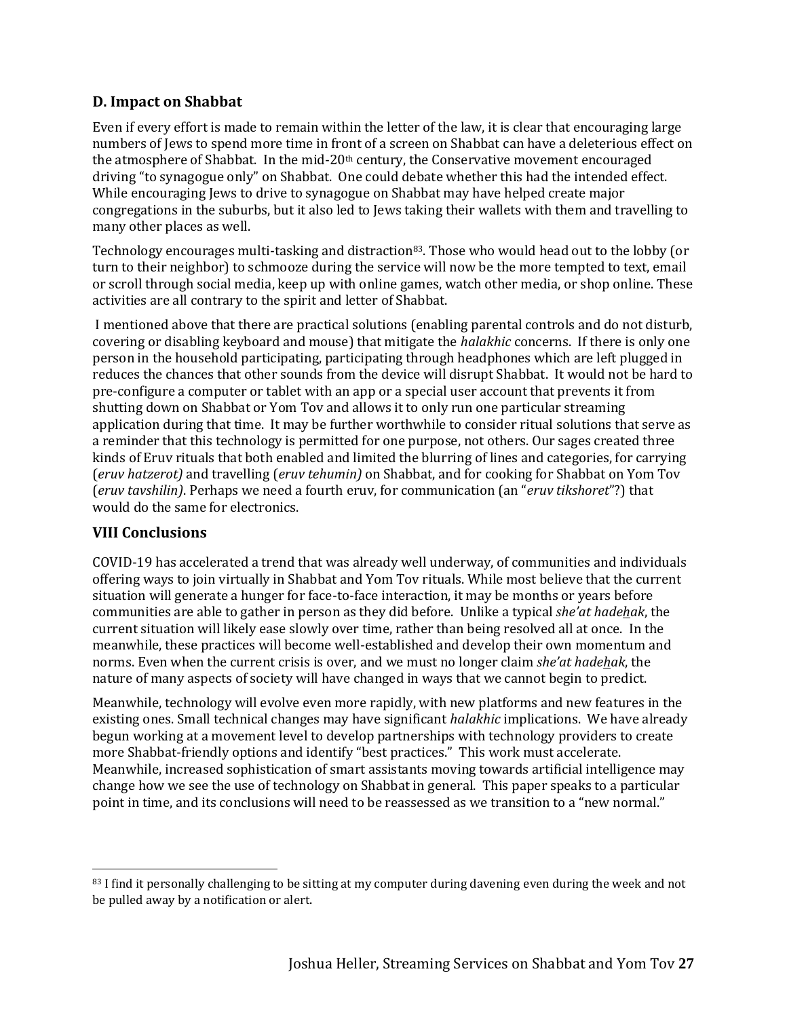# **D. Impact on Shabbat**

Even if every effort is made to remain within the letter of the law, it is clear that encouraging large numbers of Jews to spend more time in front of a screen on Shabbat can have a deleterious effect on the atmosphere of Shabbat. In the mid-20<sup>th</sup> century, the Conservative movement encouraged driving "to synagogue only" on Shabbat. One could debate whether this had the intended effect. While encouraging Jews to drive to synagogue on Shabbat may have helped create major congregations in the suburbs, but it also led to Jews taking their wallets with them and travelling to many other places as well.

Technology encourages multi-tasking and distraction<sup>83</sup>. Those who would head out to the lobby (or turn to their neighbor) to schmooze during the service will now be the more tempted to text, email or scroll through social media, keep up with online games, watch other media, or shop online. These activities are all contrary to the spirit and letter of Shabbat.

I mentioned above that there are practical solutions (enabling parental controls and do not disturb, covering or disabling keyboard and mouse) that mitigate the *halakhic* concerns. If there is only one person in the household participating, participating through headphones which are left plugged in reduces the chances that other sounds from the device will disrupt Shabbat. It would not be hard to pre-configure a computer or tablet with an app or a special user account that prevents it from shutting down on Shabbat or Yom Tov and allows it to only run one particular streaming application during that time. It may be further worthwhile to consider ritual solutions that serve as a reminder that this technology is permitted for one purpose, not others. Our sages created three kinds of Eruv rituals that both enabled and limited the blurring of lines and categories, for carrying (*eruv hatzerot)* and travelling (*eruv tehumin)* on Shabbat, and for cooking for Shabbat on Yom Tov (*eruv tavshilin)*. Perhaps we need a fourth eruv, for communication (an "*eruv tikshoret*"?) that would do the same for electronics.

# **VIII Conclusions**

COVID-19 has accelerated a trend that was already well underway, of communities and individuals offering ways to join virtually in Shabbat and Yom Tov rituals. While most believe that the current situation will generate a hunger for face-to-face interaction, it may be months or years before communities are able to gather in person as they did before. Unlike a typical *she'at hadehak*, the current situation will likely ease slowly over time, rather than being resolved all at once. In the meanwhile, these practices will become well-established and develop their own momentum and norms. Even when the current crisis is over, and we must no longer claim *she'at hadehak*, the nature of many aspects of society will have changed in ways that we cannot begin to predict.

Meanwhile, technology will evolve even more rapidly, with new platforms and new features in the existing ones. Small technical changes may have significant *halakhic* implications. We have already begun working at a movement level to develop partnerships with technology providers to create more Shabbat-friendly options and identify "best practices." This work must accelerate. Meanwhile, increased sophistication of smart assistants moving towards artificial intelligence may change how we see the use of technology on Shabbat in general. This paper speaks to a particular point in time, and its conclusions will need to be reassessed as we transition to a "new normal."

<sup>83</sup> I find it personally challenging to be sitting at my computer during davening even during the week and not be pulled away by a notification or alert.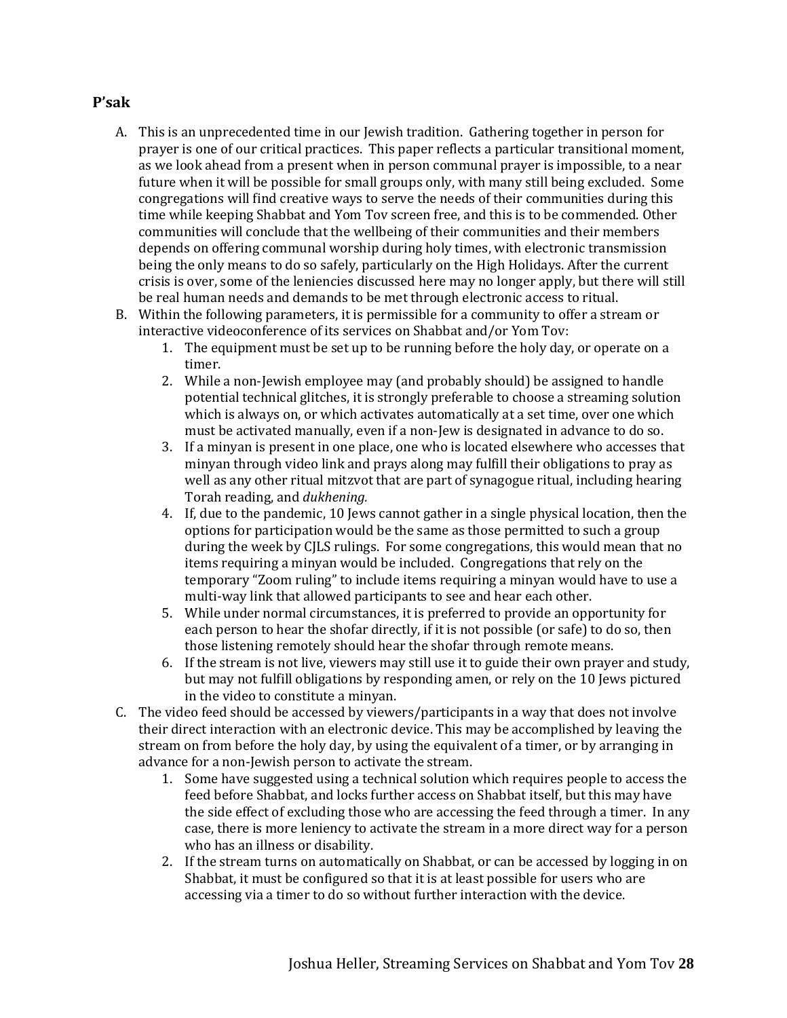#### **P'sak**

- A. This is an unprecedented time in our Jewish tradition. Gathering together in person for prayer is one of our critical practices. This paper reflects a particular transitional moment, as we look ahead from a present when in person communal prayer is impossible, to a near future when it will be possible for small groups only, with many still being excluded. Some congregations will find creative ways to serve the needs of their communities during this time while keeping Shabbat and Yom Tov screen free, and this is to be commended. Other communities will conclude that the wellbeing of their communities and their members depends on offering communal worship during holy times, with electronic transmission being the only means to do so safely, particularly on the High Holidays. After the current crisis is over, some of the leniencies discussed here may no longer apply, but there will still be real human needs and demands to be met through electronic access to ritual.
- B. Within the following parameters, it is permissible for a community to offer a stream or interactive videoconference of its services on Shabbat and/or Yom Tov:
	- 1. The equipment must be set up to be running before the holy day, or operate on a timer.
	- 2. While a non-Jewish employee may (and probably should) be assigned to handle potential technical glitches, it is strongly preferable to choose a streaming solution which is always on, or which activates automatically at a set time, over one which must be activated manually, even if a non-Jew is designated in advance to do so.
	- 3. If a minyan is present in one place, one who is located elsewhere who accesses that minyan through video link and prays along may fulfill their obligations to pray as well as any other ritual mitzvot that are part of synagogue ritual, including hearing Torah reading, and *dukhening.*
	- 4. If, due to the pandemic, 10 Jews cannot gather in a single physical location, then the options for participation would be the same as those permitted to such a group during the week by CJLS rulings. For some congregations, this would mean that no items requiring a minyan would be included. Congregations that rely on the temporary "Zoom ruling" to include items requiring a minyan would have to use a multi-way link that allowed participants to see and hear each other.
	- 5. While under normal circumstances, it is preferred to provide an opportunity for each person to hear the shofar directly, if it is not possible (or safe) to do so, then those listening remotely should hear the shofar through remote means.
	- 6. If the stream is not live, viewers may still use it to guide their own prayer and study, but may not fulfill obligations by responding amen, or rely on the 10 Jews pictured in the video to constitute a minyan.
- C. The video feed should be accessed by viewers/participants in a way that does not involve their direct interaction with an electronic device. This may be accomplished by leaving the stream on from before the holy day, by using the equivalent of a timer, or by arranging in advance for a non-Jewish person to activate the stream.
	- 1. Some have suggested using a technical solution which requires people to access the feed before Shabbat, and locks further access on Shabbat itself, but this may have the side effect of excluding those who are accessing the feed through a timer. In any case, there is more leniency to activate the stream in a more direct way for a person who has an illness or disability.
	- 2. If the stream turns on automatically on Shabbat, or can be accessed by logging in on Shabbat, it must be configured so that it is at least possible for users who are accessing via a timer to do so without further interaction with the device.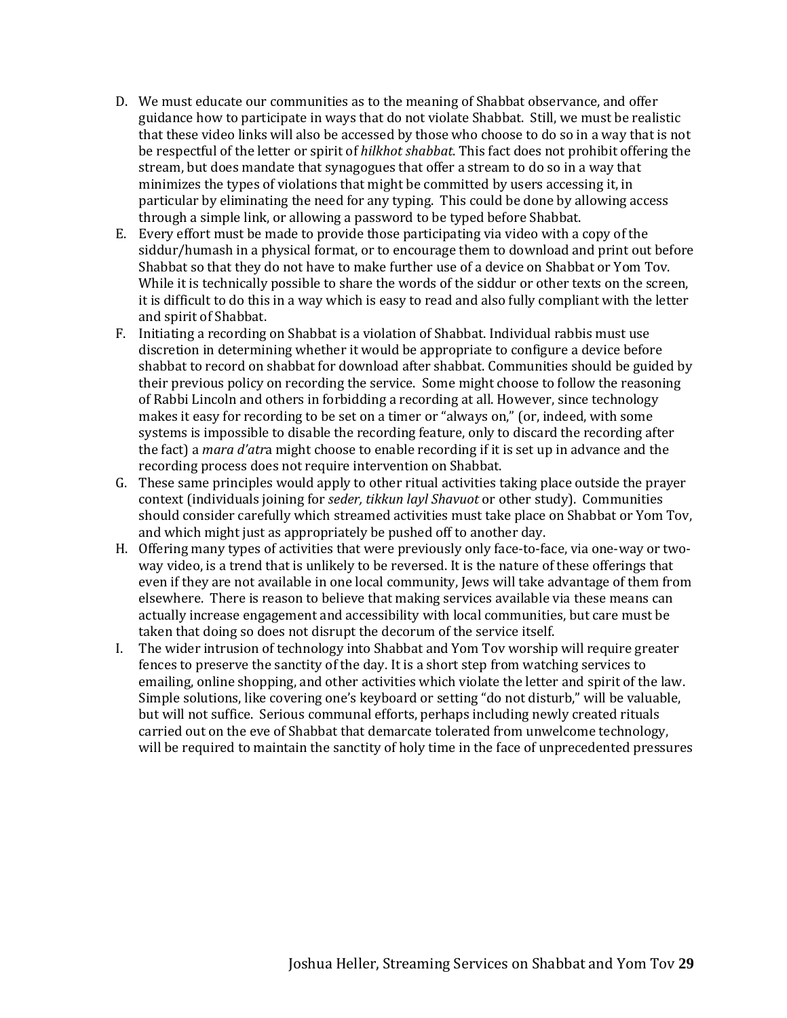- D. We must educate our communities as to the meaning of Shabbat observance, and offer guidance how to participate in ways that do not violate Shabbat. Still, we must be realistic that these video links will also be accessed by those who choose to do so in a way that is not be respectful of the letter or spirit of *hilkhot shabbat*. This fact does not prohibit offering the stream, but does mandate that synagogues that offer a stream to do so in a way that minimizes the types of violations that might be committed by users accessing it, in particular by eliminating the need for any typing. This could be done by allowing access through a simple link, or allowing a password to be typed before Shabbat.
- E. Every effort must be made to provide those participating via video with a copy of the siddur/humash in a physical format, or to encourage them to download and print out before Shabbat so that they do not have to make further use of a device on Shabbat or Yom Tov. While it is technically possible to share the words of the siddur or other texts on the screen, it is difficult to do this in a way which is easy to read and also fully compliant with the letter and spirit of Shabbat.
- F. Initiating a recording on Shabbat is a violation of Shabbat. Individual rabbis must use discretion in determining whether it would be appropriate to configure a device before shabbat to record on shabbat for download after shabbat. Communities should be guided by their previous policy on recording the service. Some might choose to follow the reasoning of Rabbi Lincoln and others in forbidding a recording at all. However, since technology makes it easy for recording to be set on a timer or "always on," (or, indeed, with some systems is impossible to disable the recording feature, only to discard the recording after the fact) a *mara d'atr*a might choose to enable recording if it is set up in advance and the recording process does not require intervention on Shabbat.
- G. These same principles would apply to other ritual activities taking place outside the prayer context (individuals joining for *seder, tikkun layl Shavuot* or other study). Communities should consider carefully which streamed activities must take place on Shabbat or Yom Tov, and which might just as appropriately be pushed off to another day.
- H. Offering many types of activities that were previously only face-to-face, via one-way or twoway video, is a trend that is unlikely to be reversed. It is the nature of these offerings that even if they are not available in one local community, Jews will take advantage of them from elsewhere. There is reason to believe that making services available via these means can actually increase engagement and accessibility with local communities, but care must be taken that doing so does not disrupt the decorum of the service itself.
- I. The wider intrusion of technology into Shabbat and Yom Tov worship will require greater fences to preserve the sanctity of the day. It is a short step from watching services to emailing, online shopping, and other activities which violate the letter and spirit of the law. Simple solutions, like covering one's keyboard or setting "do not disturb," will be valuable, but will not suffice. Serious communal efforts, perhaps including newly created rituals carried out on the eve of Shabbat that demarcate tolerated from unwelcome technology, will be required to maintain the sanctity of holy time in the face of unprecedented pressures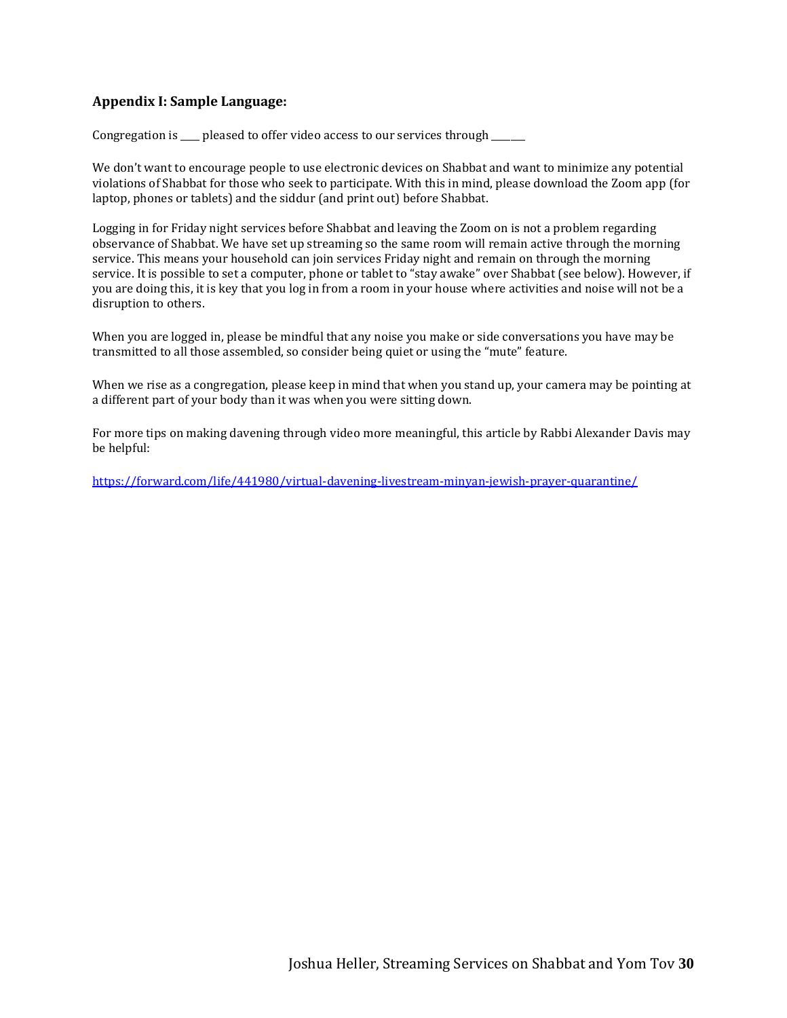#### **Appendix I: Sample Language:**

Congregation is \_\_\_\_ pleased to offer video access to our services through \_\_\_\_\_

We don't want to encourage people to use electronic devices on Shabbat and want to minimize any potential violations of Shabbat for those who seek to participate. With this in mind, please download the Zoom app (for laptop, phones or tablets) and the siddur (and print out) before Shabbat.

Logging in for Friday night services before Shabbat and leaving the Zoom on is not a problem regarding observance of Shabbat. We have set up streaming so the same room will remain active through the morning service. This means your household can join services Friday night and remain on through the morning service. It is possible to set a computer, phone or tablet to "stay awake" over Shabbat (see below). However, if you are doing this, it is key that you log in from a room in your house where activities and noise will not be a disruption to others.

When you are logged in, please be mindful that any noise you make or side conversations you have may be transmitted to all those assembled, so consider being quiet or using the "mute" feature.

When we rise as a congregation, please keep in mind that when you stand up, your camera may be pointing at a different part of your body than it was when you were sitting down.

For more tips on making davening through video more meaningful, this article by Rabbi Alexander Davis may be helpful:

<https://forward.com/life/441980/virtual-davening-livestream-minyan-jewish-prayer-quarantine/>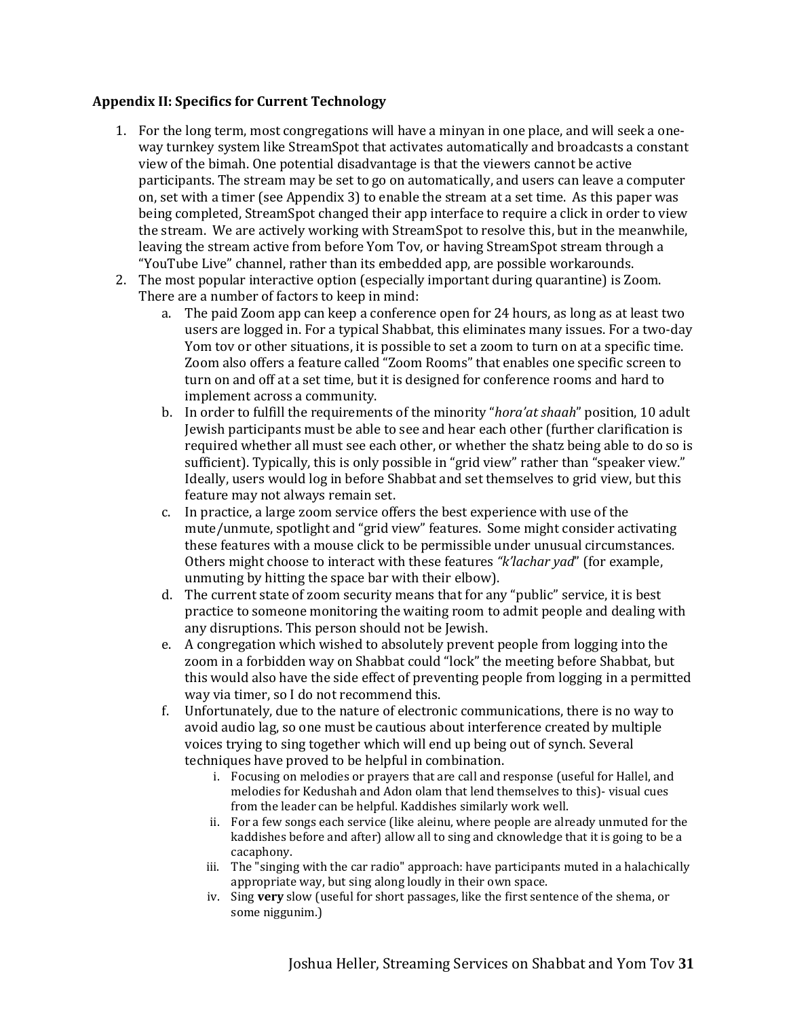#### **Appendix II: Specifics for Current Technology**

- 1. For the long term, most congregations will have a minyan in one place, and will seek a oneway turnkey system like StreamSpot that activates automatically and broadcasts a constant view of the bimah. One potential disadvantage is that the viewers cannot be active participants. The stream may be set to go on automatically, and users can leave a computer on, set with a timer (see Appendix 3) to enable the stream at a set time. As this paper was being completed, StreamSpot changed their app interface to require a click in order to view the stream. We are actively working with StreamSpot to resolve this, but in the meanwhile, leaving the stream active from before Yom Tov, or having StreamSpot stream through a "YouTube Live" channel, rather than its embedded app, are possible workarounds.
- 2. The most popular interactive option (especially important during quarantine) is Zoom. There are a number of factors to keep in mind:
	- a. The paid Zoom app can keep a conference open for 24 hours, as long as at least two users are logged in. For a typical Shabbat, this eliminates many issues. For a two-day Yom tov or other situations, it is possible to set a zoom to turn on at a specific time. Zoom also offers a feature called "Zoom Rooms" that enables one specific screen to turn on and off at a set time, but it is designed for conference rooms and hard to implement across a community.
	- b. In order to fulfill the requirements of the minority "*hora'at shaah*" position, 10 adult Jewish participants must be able to see and hear each other (further clarification is required whether all must see each other, or whether the shatz being able to do so is sufficient). Typically, this is only possible in "grid view" rather than "speaker view." Ideally, users would log in before Shabbat and set themselves to grid view, but this feature may not always remain set.
	- c. In practice, a large zoom service offers the best experience with use of the mute/unmute, spotlight and "grid view" features. Some might consider activating these features with a mouse click to be permissible under unusual circumstances*.*  Others might choose to interact with these features *"k'lachar yad*" (for example, unmuting by hitting the space bar with their elbow).
	- d. The current state of zoom security means that for any "public" service, it is best practice to someone monitoring the waiting room to admit people and dealing with any disruptions. This person should not be Jewish.
	- e. A congregation which wished to absolutely prevent people from logging into the zoom in a forbidden way on Shabbat could "lock" the meeting before Shabbat, but this would also have the side effect of preventing people from logging in a permitted way via timer, so I do not recommend this.
	- f. Unfortunately, due to the nature of electronic communications, there is no way to avoid audio lag, so one must be cautious about interference created by multiple voices trying to sing together which will end up being out of synch. Several techniques have proved to be helpful in combination.
		- i. Focusing on melodies or prayers that are call and response (useful for Hallel, and melodies for Kedushah and Adon olam that lend themselves to this)- visual cues from the leader can be helpful. Kaddishes similarly work well.
		- ii. For a few songs each service (like aleinu, where people are already unmuted for the kaddishes before and after) allow all to sing and cknowledge that it is going to be a cacaphony.
		- iii. The "singing with the car radio" approach: have participants muted in a halachically appropriate way, but sing along loudly in their own space.
		- iv. Sing **very** slow (useful for short passages, like the first sentence of the shema, or some niggunim.)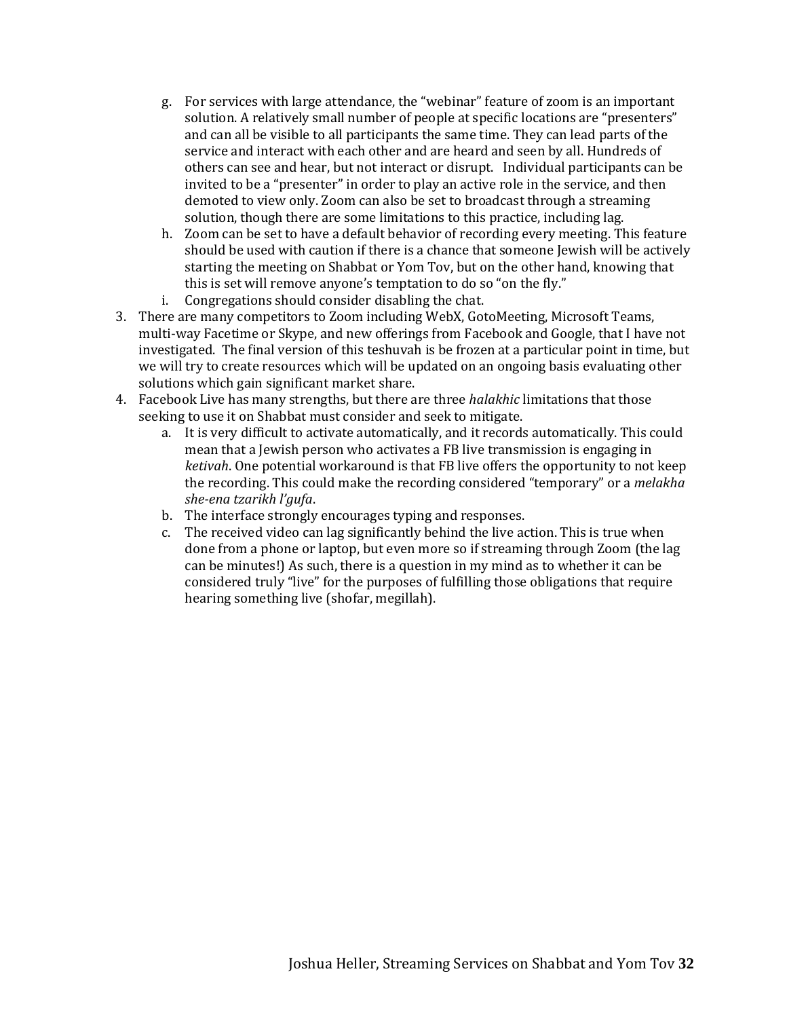- g. For services with large attendance, the "webinar" feature of zoom is an important solution. A relatively small number of people at specific locations are "presenters" and can all be visible to all participants the same time. They can lead parts of the service and interact with each other and are heard and seen by all. Hundreds of others can see and hear, but not interact or disrupt. Individual participants can be invited to be a "presenter" in order to play an active role in the service, and then demoted to view only. Zoom can also be set to broadcast through a streaming solution, though there are some limitations to this practice, including lag.
- h. Zoom can be set to have a default behavior of recording every meeting. This feature should be used with caution if there is a chance that someone Jewish will be actively starting the meeting on Shabbat or Yom Tov, but on the other hand, knowing that this is set will remove anyone's temptation to do so "on the fly."
- i. Congregations should consider disabling the chat.
- 3. There are many competitors to Zoom including WebX, GotoMeeting, Microsoft Teams, multi-way Facetime or Skype, and new offerings from Facebook and Google, that I have not investigated. The final version of this teshuvah is be frozen at a particular point in time, but we will try to create resources which will be updated on an ongoing basis evaluating other solutions which gain significant market share.
- 4. Facebook Live has many strengths, but there are three *halakhic* limitations that those seeking to use it on Shabbat must consider and seek to mitigate.
	- a. It is very difficult to activate automatically, and it records automatically. This could mean that a Jewish person who activates a FB live transmission is engaging in *ketivah*. One potential workaround is that FB live offers the opportunity to not keep the recording. This could make the recording considered "temporary" or a *melakha she-ena tzarikh l'gufa*.
	- b. The interface strongly encourages typing and responses.
	- c. The received video can lag significantly behind the live action. This is true when done from a phone or laptop, but even more so if streaming through Zoom (the lag can be minutes!) As such, there is a question in my mind as to whether it can be considered truly "live" for the purposes of fulfilling those obligations that require hearing something live (shofar, megillah).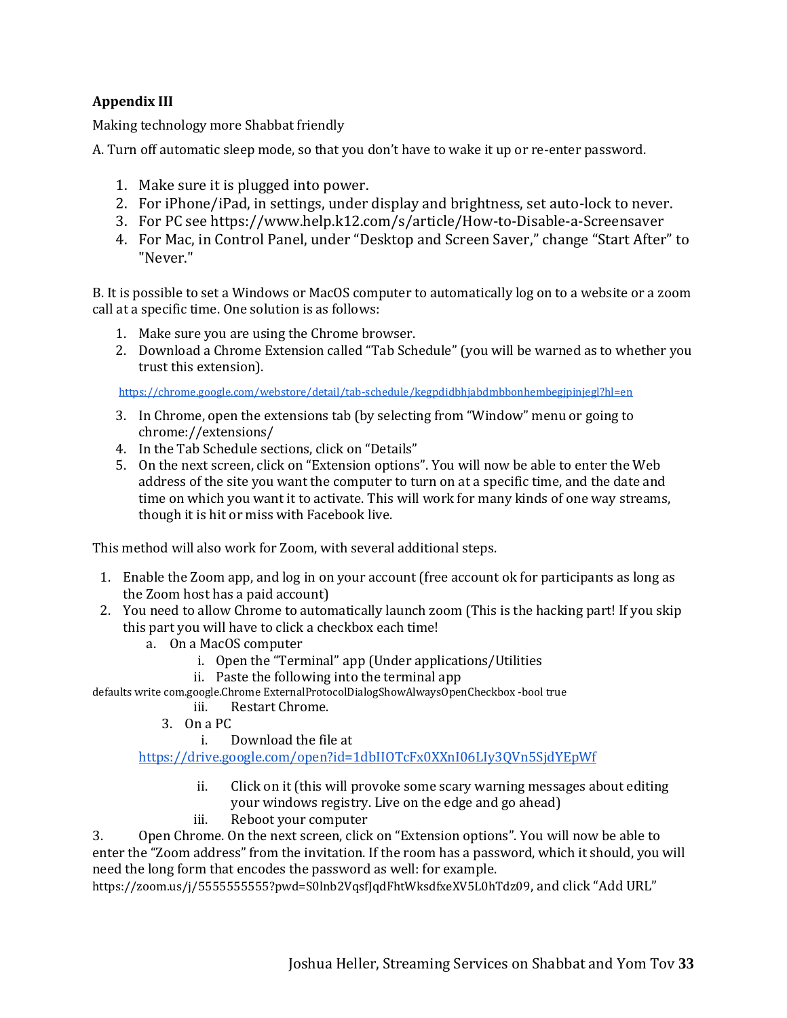### **Appendix III**

Making technology more Shabbat friendly

A. Turn off automatic sleep mode, so that you don't have to wake it up or re-enter password.

- 1. Make sure it is plugged into power.
- 2. For iPhone/iPad, in settings, under display and brightness, set auto-lock to never.
- 3. For PC see https://www.help.k12.com/s/article/How-to-Disable-a-Screensaver
- 4. For Mac, in Control Panel, under "Desktop and Screen Saver," change "Start After" to "Never."

B. It is possible to set a Windows or MacOS computer to automatically log on to a website or a zoom call at a specific time. One solution is as follows:

- 1. Make sure you are using the Chrome browser.
- 2. Download a Chrome Extension called "Tab Schedule" (you will be warned as to whether you trust this extension).

<https://chrome.google.com/webstore/detail/tab-schedule/kegpdidbhjabdmbbonhembegjpinjegl?hl=en>

- 3. In Chrome, open the extensions tab (by selecting from "Window" menu or going to chrome://extensions/
- 4. In the Tab Schedule sections, click on "Details"
- 5. On the next screen, click on "Extension options". You will now be able to enter the Web address of the site you want the computer to turn on at a specific time, and the date and time on which you want it to activate. This will work for many kinds of one way streams, though it is hit or miss with Facebook live.

This method will also work for Zoom, with several additional steps.

- 1. Enable the Zoom app, and log in on your account (free account ok for participants as long as the Zoom host has a paid account)
- 2. You need to allow Chrome to automatically launch zoom (This is the hacking part! If you skip this part you will have to click a checkbox each time!
	- a. On a MacOS computer
		- i. Open the "Terminal" app (Under applications/Utilities
		- ii. Paste the following into the terminal app

defaults write com.google.Chrome ExternalProtocolDialogShowAlwaysOpenCheckbox -bool true

- iii. Restart Chrome.
- 3. On a PC
	- i. Download the file at

<https://drive.google.com/open?id=1dbIIOTcFx0XXnI06LIy3QVn5SjdYEpWf>

- ii. Click on it (this will provoke some scary warning messages about editing your windows registry. Live on the edge and go ahead)
- iii. Reboot your computer

3. Open Chrome. On the next screen, click on "Extension options". You will now be able to enter the "Zoom address" from the invitation. If the room has a password, which it should, you will need the long form that encodes the password as well: for example.

https://zoom.us/j/55555555555?pwd=S0lnb2VqsfJqdFhtWksdfxeXV5L0hTdz09, and click "Add URL"